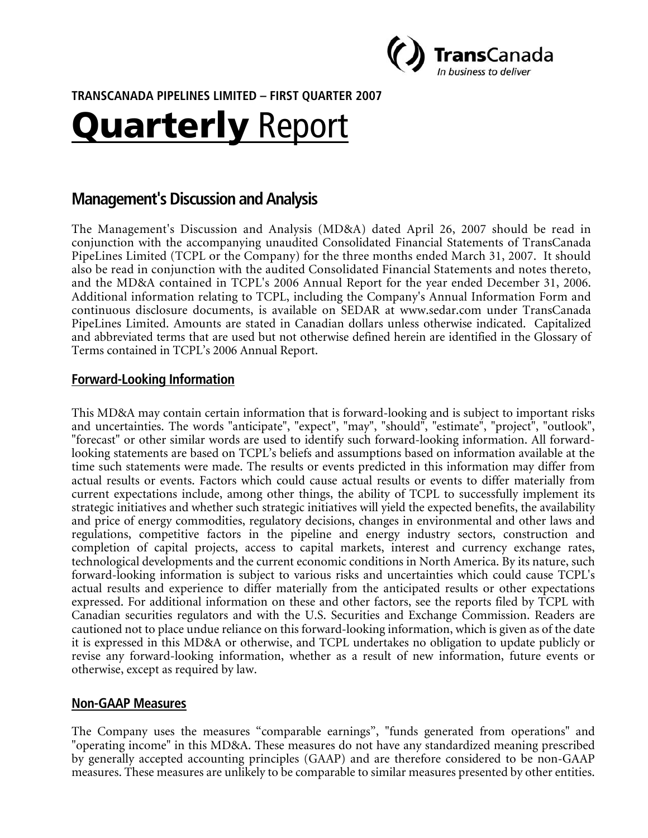

**TRANSCANADA PIPELINES LIMITED – FIRST QUARTER 2007** 

# Quarterly Report

# **Management's Discussion and Analysis**

The Management's Discussion and Analysis (MD&A) dated April 26, 2007 should be read in conjunction with the accompanying unaudited Consolidated Financial Statements of TransCanada PipeLines Limited (TCPL or the Company) for the three months ended March 31, 2007. It should also be read in conjunction with the audited Consolidated Financial Statements and notes thereto, and the MD&A contained in TCPL's 2006 Annual Report for the year ended December 31, 2006. Additional information relating to TCPL, including the Company's Annual Information Form and continuous disclosure documents, is available on SEDAR at www.sedar.com under TransCanada PipeLines Limited. Amounts are stated in Canadian dollars unless otherwise indicated. Capitalized and abbreviated terms that are used but not otherwise defined herein are identified in the Glossary of Terms contained in TCPL's 2006 Annual Report.

## **Forward-Looking Information**

This MD&A may contain certain information that is forward-looking and is subject to important risks and uncertainties. The words "anticipate", "expect", "may", "should", "estimate", "project", "outlook", "forecast" or other similar words are used to identify such forward-looking information. All forwardlooking statements are based on TCPL's beliefs and assumptions based on information available at the time such statements were made. The results or events predicted in this information may differ from actual results or events. Factors which could cause actual results or events to differ materially from current expectations include, among other things, the ability of TCPL to successfully implement its strategic initiatives and whether such strategic initiatives will yield the expected benefits, the availability and price of energy commodities, regulatory decisions, changes in environmental and other laws and regulations, competitive factors in the pipeline and energy industry sectors, construction and completion of capital projects, access to capital markets, interest and currency exchange rates, technological developments and the current economic conditions in North America. By its nature, such forward-looking information is subject to various risks and uncertainties which could cause TCPL's actual results and experience to differ materially from the anticipated results or other expectations expressed. For additional information on these and other factors, see the reports filed by TCPL with Canadian securities regulators and with the U.S. Securities and Exchange Commission. Readers are cautioned not to place undue reliance on this forward-looking information, which is given as of the date it is expressed in this MD&A or otherwise, and TCPL undertakes no obligation to update publicly or revise any forward-looking information, whether as a result of new information, future events or otherwise, except as required by law.

#### **Non-GAAP Measures**

The Company uses the measures "comparable earnings", "funds generated from operations" and "operating income" in this MD&A. These measures do not have any standardized meaning prescribed by generally accepted accounting principles (GAAP) and are therefore considered to be non-GAAP measures. These measures are unlikely to be comparable to similar measures presented by other entities.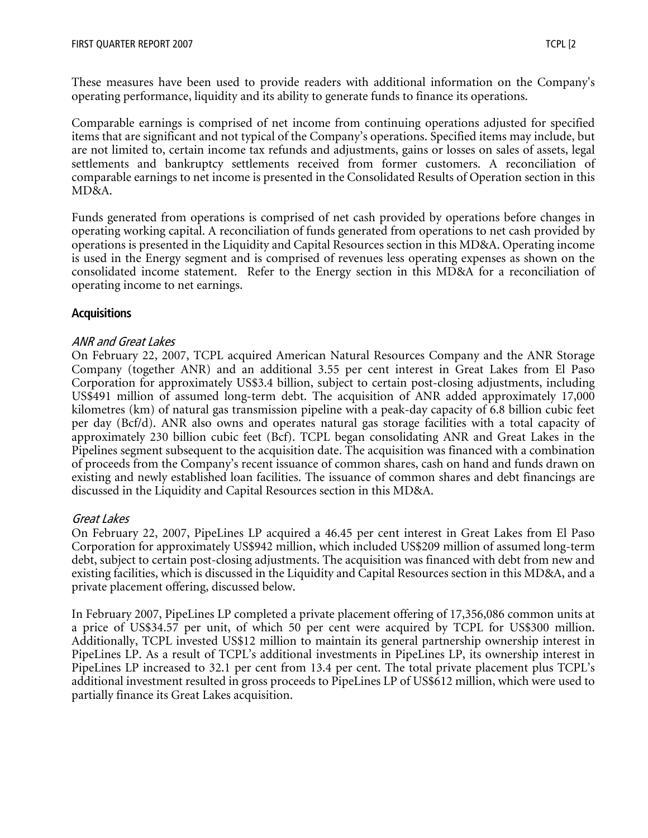These measures have been used to provide readers with additional information on the Company's operating performance, liquidity and its ability to generate funds to finance its operations.

Comparable earnings is comprised of net income from continuing operations adjusted for specified items that are significant and not typical of the Company's operations. Specified items may include, but are not limited to, certain income tax refunds and adjustments, gains or losses on sales of assets, legal settlements and bankruptcy settlements received from former customers. A reconciliation of comparable earnings to net income is presented in the Consolidated Results of Operation section in this MD&A.

Funds generated from operations is comprised of net cash provided by operations before changes in operating working capital. A reconciliation of funds generated from operations to net cash provided by operations is presented in the Liquidity and Capital Resources section in this MD&A. Operating income is used in the Energy segment and is comprised of revenues less operating expenses as shown on the consolidated income statement. Refer to the Energy section in this MD&A for a reconciliation of operating income to net earnings.

#### **Acquisitions**

#### ANR and Great Lakes

On February 22, 2007, TCPL acquired American Natural Resources Company and the ANR Storage Company (together ANR) and an additional 3.55 per cent interest in Great Lakes from El Paso Corporation for approximately US\$3.4 billion, subject to certain post-closing adjustments, including US\$491 million of assumed long-term debt. The acquisition of ANR added approximately 17,000 kilometres (km) of natural gas transmission pipeline with a peak-day capacity of 6.8 billion cubic feet per day (Bcf/d). ANR also owns and operates natural gas storage facilities with a total capacity of approximately 230 billion cubic feet (Bcf). TCPL began consolidating ANR and Great Lakes in the Pipelines segment subsequent to the acquisition date. The acquisition was financed with a combination of proceeds from the Company's recent issuance of common shares, cash on hand and funds drawn on existing and newly established loan facilities. The issuance of common shares and debt financings are discussed in the Liquidity and Capital Resources section in this MD&A.

#### Great Lakes

On February 22, 2007, PipeLines LP acquired a 46.45 per cent interest in Great Lakes from El Paso Corporation for approximately US\$942 million, which included US\$209 million of assumed long-term debt, subject to certain post-closing adjustments. The acquisition was financed with debt from new and existing facilities, which is discussed in the Liquidity and Capital Resources section in this MD&A, and a private placement offering, discussed below.

In February 2007, PipeLines LP completed a private placement offering of 17,356,086 common units at a price of US\$34.57 per unit, of which 50 per cent were acquired by TCPL for US\$300 million. Additionally, TCPL invested US\$12 million to maintain its general partnership ownership interest in PipeLines LP. As a result of TCPL's additional investments in PipeLines LP, its ownership interest in PipeLines LP increased to 32.1 per cent from 13.4 per cent. The total private placement plus TCPL's additional investment resulted in gross proceeds to PipeLines LP of US\$612 million, which were used to partially finance its Great Lakes acquisition.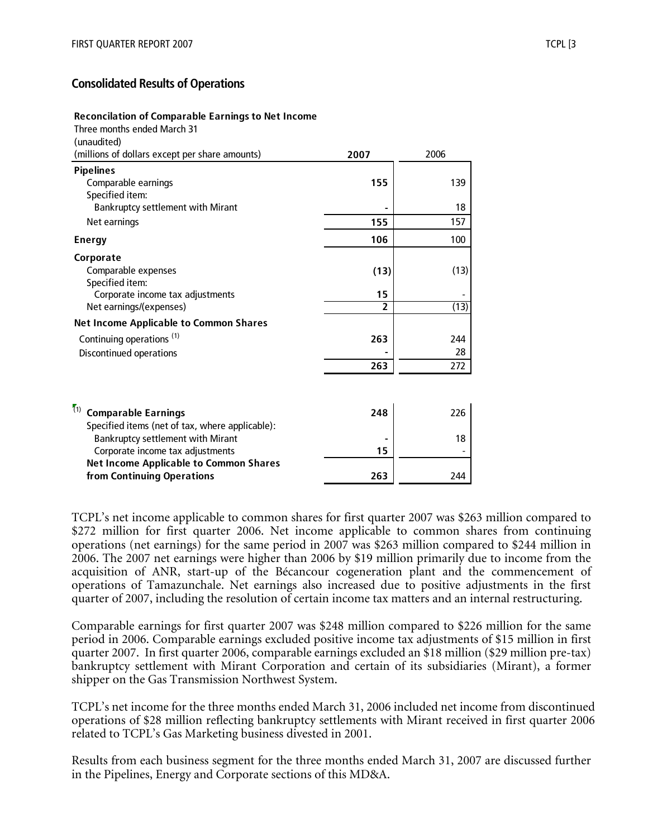## **Consolidated Results of Operations**

#### **Reconcilation of Comparable Earnings to Net Income**

| <u>Reconciliation of Comparable Larmings to Net income</u><br>Three months ended March 31 |      |      |
|-------------------------------------------------------------------------------------------|------|------|
| (unaudited)                                                                               |      |      |
| (millions of dollars except per share amounts)                                            | 2007 | 2006 |
| <b>Pipelines</b>                                                                          |      |      |
| Comparable earnings                                                                       | 155  | 139  |
| Specified item:                                                                           |      |      |
| <b>Bankruptcy settlement with Mirant</b>                                                  |      | 18   |
| Net earnings                                                                              | 155  | 157  |
| <b>Energy</b>                                                                             | 106  | 100  |
| Corporate                                                                                 |      |      |
| Comparable expenses                                                                       | (13) | (13) |
| Specified item:                                                                           |      |      |
| Corporate income tax adjustments                                                          | 15   |      |
| Net earnings/(expenses)                                                                   | 2    | (13) |
| <b>Net Income Applicable to Common Shares</b>                                             |      |      |
| Continuing operations <sup>(1)</sup>                                                      | 263  | 244  |
| Discontinued operations                                                                   |      | 28   |
|                                                                                           | 263  | 272  |
|                                                                                           |      |      |
| (1)<br><b>Comparable Earnings</b>                                                         | 248  | 226  |
| Specified items (not of tax, where applicable).                                           |      |      |

| Specified items (net of tax, where applicable): |     |     |
|-------------------------------------------------|-----|-----|
| <b>Bankruptcy settlement with Mirant</b>        |     | 18. |
| Corporate income tax adjustments                | 15  |     |
| <b>Net Income Applicable to Common Shares</b>   |     |     |
| from Continuing Operations                      | 263 | 244 |

TCPL's net income applicable to common shares for first quarter 2007 was \$263 million compared to \$272 million for first quarter 2006. Net income applicable to common shares from continuing operations (net earnings) for the same period in 2007 was \$263 million compared to \$244 million in 2006. The 2007 net earnings were higher than 2006 by \$19 million primarily due to income from the acquisition of ANR, start-up of the Bécancour cogeneration plant and the commencement of operations of Tamazunchale. Net earnings also increased due to positive adjustments in the first quarter of 2007, including the resolution of certain income tax matters and an internal restructuring.

Comparable earnings for first quarter 2007 was \$248 million compared to \$226 million for the same period in 2006. Comparable earnings excluded positive income tax adjustments of \$15 million in first quarter 2007. In first quarter 2006, comparable earnings excluded an \$18 million (\$29 million pre-tax) bankruptcy settlement with Mirant Corporation and certain of its subsidiaries (Mirant), a former shipper on the Gas Transmission Northwest System.

TCPL's net income for the three months ended March 31, 2006 included net income from discontinued operations of \$28 million reflecting bankruptcy settlements with Mirant received in first quarter 2006 related to TCPL's Gas Marketing business divested in 2001.

Results from each business segment for the three months ended March 31, 2007 are discussed further in the Pipelines, Energy and Corporate sections of this MD&A.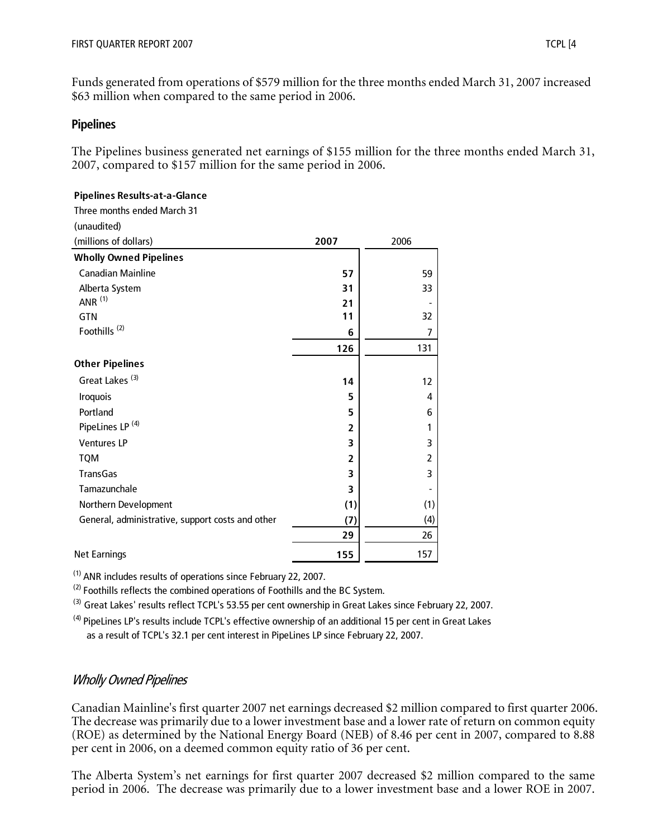**Pipelines Results-at-a-Glance**

Funds generated from operations of \$579 million for the three months ended March 31, 2007 increased \$63 million when compared to the same period in 2006.

#### **Pipelines**

The Pipelines business generated net earnings of \$155 million for the three months ended March 31, 2007, compared to \$157 million for the same period in 2006.

| 2007           | 2006           |
|----------------|----------------|
|                |                |
| 57             | 59             |
| 31             | 33             |
| 21             |                |
| 11             | 32             |
| 6              | 7              |
| 126            | 131            |
|                |                |
| 14             | 12             |
| 5              | 4              |
| 5              | 6              |
| $\overline{2}$ | 1              |
| 3              | 3              |
| $\overline{2}$ | $\overline{2}$ |
| 3              | 3              |
| 3              | $\overline{a}$ |
| (1)            | (1)            |
| (7)            | (4)            |
| 29             | 26             |
| 155            | 157            |
|                |                |

(1) ANR includes results of operations since February 22, 2007.

<sup>(2)</sup> Foothills reflects the combined operations of Foothills and the BC System.

<sup>(3)</sup> Great Lakes' results reflect TCPL's 53.55 per cent ownership in Great Lakes since February 22, 2007.

(4) PipeLines LP's results include TCPL's effective ownership of an additional 15 per cent in Great Lakes

as a result of TCPL's 32.1 per cent interest in PipeLines LP since February 22, 2007.

## Wholly Owned Pipelines

Canadian Mainline's first quarter 2007 net earnings decreased \$2 million compared to first quarter 2006. The decrease was primarily due to a lower investment base and a lower rate of return on common equity (ROE) as determined by the National Energy Board (NEB) of 8.46 per cent in 2007, compared to 8.88 per cent in 2006, on a deemed common equity ratio of 36 per cent.

The Alberta System's net earnings for first quarter 2007 decreased \$2 million compared to the same period in 2006. The decrease was primarily due to a lower investment base and a lower ROE in 2007.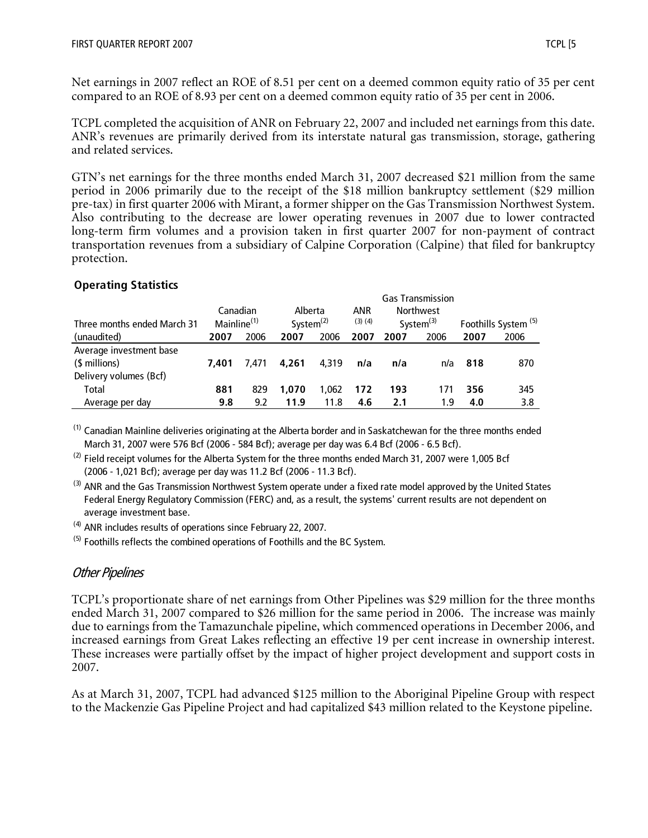Net earnings in 2007 reflect an ROE of 8.51 per cent on a deemed common equity ratio of 35 per cent compared to an ROE of 8.93 per cent on a deemed common equity ratio of 35 per cent in 2006.

TCPL completed the acquisition of ANR on February 22, 2007 and included net earnings from this date. ANR's revenues are primarily derived from its interstate natural gas transmission, storage, gathering and related services.

GTN's net earnings for the three months ended March 31, 2007 decreased \$21 million from the same period in 2006 primarily due to the receipt of the \$18 million bankruptcy settlement (\$29 million pre-tax) in first quarter 2006 with Mirant, a former shipper on the Gas Transmission Northwest System. Also contributing to the decrease are lower operating revenues in 2007 due to lower contracted long-term firm volumes and a provision taken in first quarter 2007 for non-payment of contract transportation revenues from a subsidiary of Calpine Corporation (Calpine) that filed for bankruptcy protection.

#### **Operating Statistics**

|                             |                         |       |              |       |             |      | <b>Gas Transmission</b> |      |                                 |
|-----------------------------|-------------------------|-------|--------------|-------|-------------|------|-------------------------|------|---------------------------------|
|                             | Canadian                |       | Alberta      |       | ANR         |      | <b>Northwest</b>        |      |                                 |
| Three months ended March 31 | Mainline <sup>(1)</sup> |       | System $(2)$ |       | $(3)$ $(4)$ |      | System $(3)$            |      | Foothills System <sup>(5)</sup> |
| (unaudited)                 | 2007                    | 2006  | 2007         | 2006  | 2007        | 2007 | 2006                    | 2007 | 2006                            |
| Average investment base     |                         |       |              |       |             |      |                         |      |                                 |
| (\$ millions)               | 7.401                   | 7.471 | 4.261        | 4.319 | n/a         | n/a  | n/a                     | 818  | 870                             |
| Delivery volumes (Bcf)      |                         |       |              |       |             |      |                         |      |                                 |
| Total                       | 881                     | 829   | 1.070        | 1.062 | 172         | 193  | 171                     | 356  | 345                             |
| Average per day             | 9.8                     | 9.2   | 11.9         | 11.8  | 4.6         | 2.1  | 1.9                     | 4.0  | 3.8                             |

<sup>(1)</sup> Canadian Mainline deliveries originating at the Alberta border and in Saskatchewan for the three months ended March 31, 2007 were 576 Bcf (2006 - 584 Bcf); average per day was 6.4 Bcf (2006 - 6.5 Bcf).

 $^{(2)}$  Field receipt volumes for the Alberta System for the three months ended March 31, 2007 were 1,005 Bcf (2006 - 1,021 Bcf); average per day was 11.2 Bcf (2006 - 11.3 Bcf).

<sup>(3)</sup> ANR and the Gas Transmission Northwest System operate under a fixed rate model approved by the United States Federal Energy Regulatory Commission (FERC) and, as a result, the systems' current results are not dependent on average investment base.

 $(4)$  ANR includes results of operations since February 22, 2007.

 $<sup>(5)</sup>$  Foothills reflects the combined operations of Foothills and the BC System.</sup>

## Other Pipelines

TCPL's proportionate share of net earnings from Other Pipelines was \$29 million for the three months ended March 31, 2007 compared to \$26 million for the same period in 2006. The increase was mainly due to earnings from the Tamazunchale pipeline, which commenced operations in December 2006, and increased earnings from Great Lakes reflecting an effective 19 per cent increase in ownership interest. These increases were partially offset by the impact of higher project development and support costs in 2007.

As at March 31, 2007, TCPL had advanced \$125 million to the Aboriginal Pipeline Group with respect to the Mackenzie Gas Pipeline Project and had capitalized \$43 million related to the Keystone pipeline.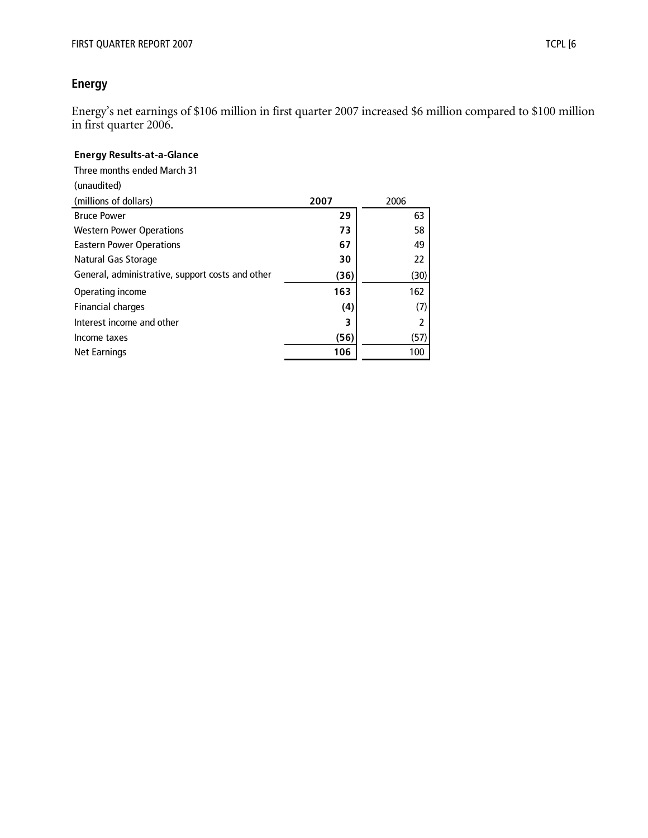# **Energy**

Energy's net earnings of \$106 million in first quarter 2007 increased \$6 million compared to \$100 million in first quarter 2006.

#### **Energy Results-at-a-Glance**

Three months ended March 31

| (unaudited)                                      |      |      |
|--------------------------------------------------|------|------|
| (millions of dollars)                            | 2007 | 2006 |
| <b>Bruce Power</b>                               | 29   | 63   |
| <b>Western Power Operations</b>                  | 73   | 58   |
| <b>Eastern Power Operations</b>                  | 67   | 49   |
| Natural Gas Storage                              | 30   | 22   |
| General, administrative, support costs and other | (36) | (30) |
| Operating income                                 | 163  | 162  |
| Financial charges                                | (4)  | (7)  |
| Interest income and other                        | 3    | 2    |
| Income taxes                                     | (56) | (57) |
| <b>Net Earnings</b>                              | 106  | 100  |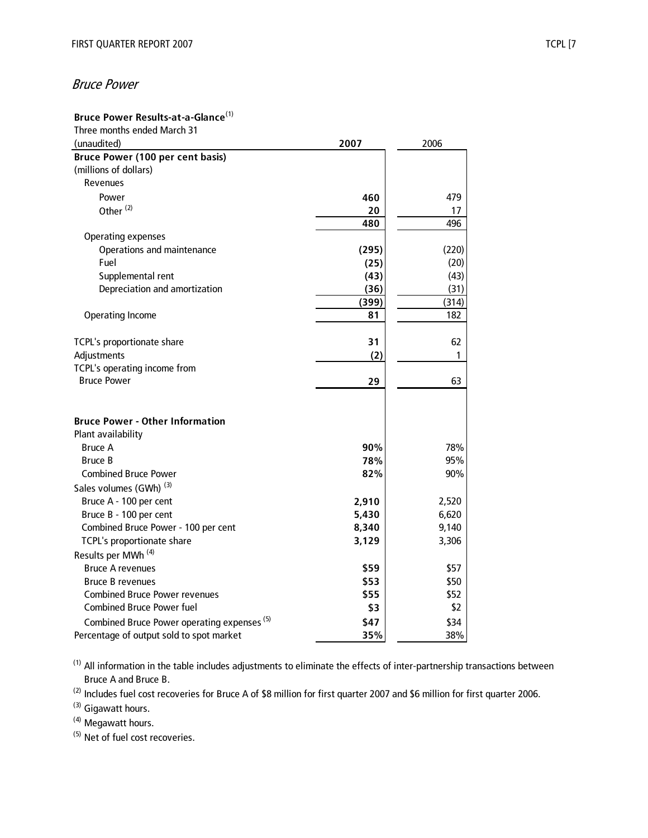# Bruce Power

## **Bruce Power Results-at-a-Glance**(1)

| Three months ended March 31                            |       |       |
|--------------------------------------------------------|-------|-------|
| (unaudited)                                            | 2007  | 2006  |
| <b>Bruce Power (100 per cent basis)</b>                |       |       |
| (millions of dollars)                                  |       |       |
| Revenues                                               |       |       |
| Power                                                  | 460   | 479   |
| Other <sup>(2)</sup>                                   | 20    | 17    |
|                                                        | 480   | 496   |
| <b>Operating expenses</b>                              |       |       |
| Operations and maintenance                             | (295) | (220) |
| Fuel                                                   | (25)  | (20)  |
| Supplemental rent                                      | (43)  | (43)  |
| Depreciation and amortization                          | (36)  | (31)  |
|                                                        | (399) | (314) |
| <b>Operating Income</b>                                | 81    | 182   |
|                                                        |       |       |
| TCPL's proportionate share                             | 31    | 62    |
| Adjustments                                            | (2)   | 1     |
| TCPL's operating income from                           |       |       |
| <b>Bruce Power</b>                                     | 29    | 63    |
|                                                        |       |       |
|                                                        |       |       |
| <b>Bruce Power - Other Information</b>                 |       |       |
| Plant availability                                     |       |       |
| <b>Bruce A</b>                                         | 90%   | 78%   |
| <b>Bruce B</b>                                         | 78%   | 95%   |
| <b>Combined Bruce Power</b>                            | 82%   | 90%   |
| Sales volumes (GWh) <sup>(3)</sup>                     |       |       |
| Bruce A - 100 per cent                                 | 2,910 | 2,520 |
| Bruce B - 100 per cent                                 | 5,430 | 6,620 |
| Combined Bruce Power - 100 per cent                    | 8,340 | 9,140 |
| TCPL's proportionate share                             | 3,129 | 3,306 |
| Results per MWh <sup>(4)</sup>                         |       |       |
| <b>Bruce A revenues</b>                                | \$59  | \$57  |
| <b>Bruce B revenues</b>                                | \$53  | \$50  |
| <b>Combined Bruce Power revenues</b>                   | \$55  | \$52  |
| <b>Combined Bruce Power fuel</b>                       | \$3   | \$2   |
| Combined Bruce Power operating expenses <sup>(5)</sup> | \$47  | \$34  |
| Percentage of output sold to spot market               | 35%   | 38%   |

 $(1)$  All information in the table includes adjustments to eliminate the effects of inter-partnership transactions between Bruce A and Bruce B.

(2) Includes fuel cost recoveries for Bruce A of \$8 million for first quarter 2007 and \$6 million for first quarter 2006.

(3) Gigawatt hours.

(4) Megawatt hours.

(5) Net of fuel cost recoveries.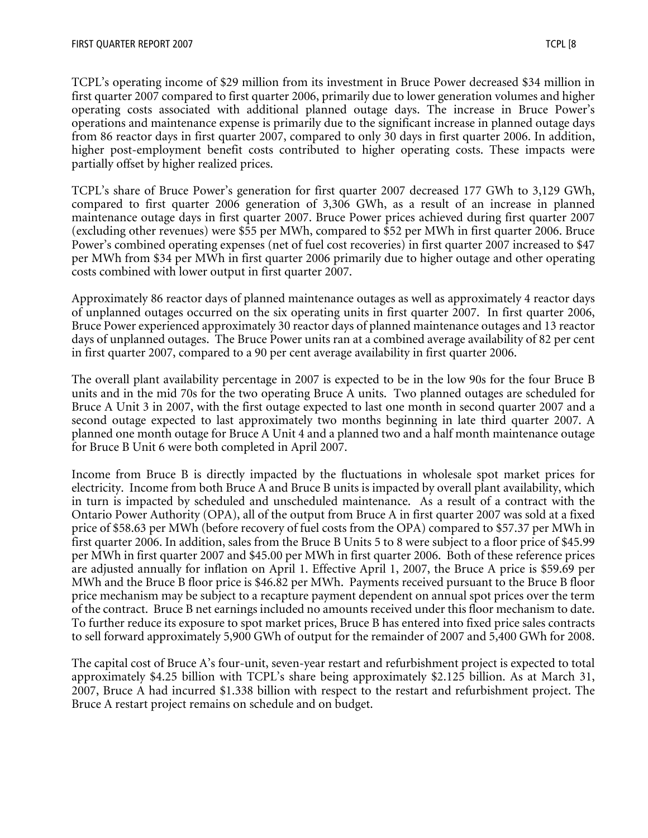TCPL's operating income of \$29 million from its investment in Bruce Power decreased \$34 million in first quarter 2007 compared to first quarter 2006, primarily due to lower generation volumes and higher operating costs associated with additional planned outage days. The increase in Bruce Power's operations and maintenance expense is primarily due to the significant increase in planned outage days from 86 reactor days in first quarter 2007, compared to only 30 days in first quarter 2006. In addition, higher post-employment benefit costs contributed to higher operating costs. These impacts were partially offset by higher realized prices.

TCPL's share of Bruce Power's generation for first quarter 2007 decreased 177 GWh to 3,129 GWh, compared to first quarter 2006 generation of 3,306 GWh, as a result of an increase in planned maintenance outage days in first quarter 2007. Bruce Power prices achieved during first quarter 2007 (excluding other revenues) were \$55 per MWh, compared to \$52 per MWh in first quarter 2006. Bruce Power's combined operating expenses (net of fuel cost recoveries) in first quarter 2007 increased to \$47 per MWh from \$34 per MWh in first quarter 2006 primarily due to higher outage and other operating costs combined with lower output in first quarter 2007.

Approximately 86 reactor days of planned maintenance outages as well as approximately 4 reactor days of unplanned outages occurred on the six operating units in first quarter 2007. In first quarter 2006, Bruce Power experienced approximately 30 reactor days of planned maintenance outages and 13 reactor days of unplanned outages. The Bruce Power units ran at a combined average availability of 82 per cent in first quarter 2007, compared to a 90 per cent average availability in first quarter 2006.

The overall plant availability percentage in 2007 is expected to be in the low 90s for the four Bruce B units and in the mid 70s for the two operating Bruce A units. Two planned outages are scheduled for Bruce A Unit 3 in 2007, with the first outage expected to last one month in second quarter 2007 and a second outage expected to last approximately two months beginning in late third quarter 2007. A planned one month outage for Bruce A Unit 4 and a planned two and a half month maintenance outage for Bruce B Unit 6 were both completed in April 2007.

Income from Bruce B is directly impacted by the fluctuations in wholesale spot market prices for electricity. Income from both Bruce A and Bruce B units is impacted by overall plant availability, which in turn is impacted by scheduled and unscheduled maintenance. As a result of a contract with the Ontario Power Authority (OPA), all of the output from Bruce A in first quarter 2007 was sold at a fixed price of \$58.63 per MWh (before recovery of fuel costs from the OPA) compared to \$57.37 per MWh in first quarter 2006. In addition, sales from the Bruce B Units 5 to 8 were subject to a floor price of \$45.99 per MWh in first quarter 2007 and \$45.00 per MWh in first quarter 2006. Both of these reference prices are adjusted annually for inflation on April 1. Effective April 1, 2007, the Bruce A price is \$59.69 per MWh and the Bruce B floor price is \$46.82 per MWh. Payments received pursuant to the Bruce B floor price mechanism may be subject to a recapture payment dependent on annual spot prices over the term of the contract. Bruce B net earnings included no amounts received under this floor mechanism to date. To further reduce its exposure to spot market prices, Bruce B has entered into fixed price sales contracts to sell forward approximately 5,900 GWh of output for the remainder of 2007 and 5,400 GWh for 2008.

The capital cost of Bruce A's four-unit, seven-year restart and refurbishment project is expected to total approximately \$4.25 billion with TCPL's share being approximately \$2.125 billion. As at March 31, 2007, Bruce A had incurred \$1.338 billion with respect to the restart and refurbishment project. The Bruce A restart project remains on schedule and on budget.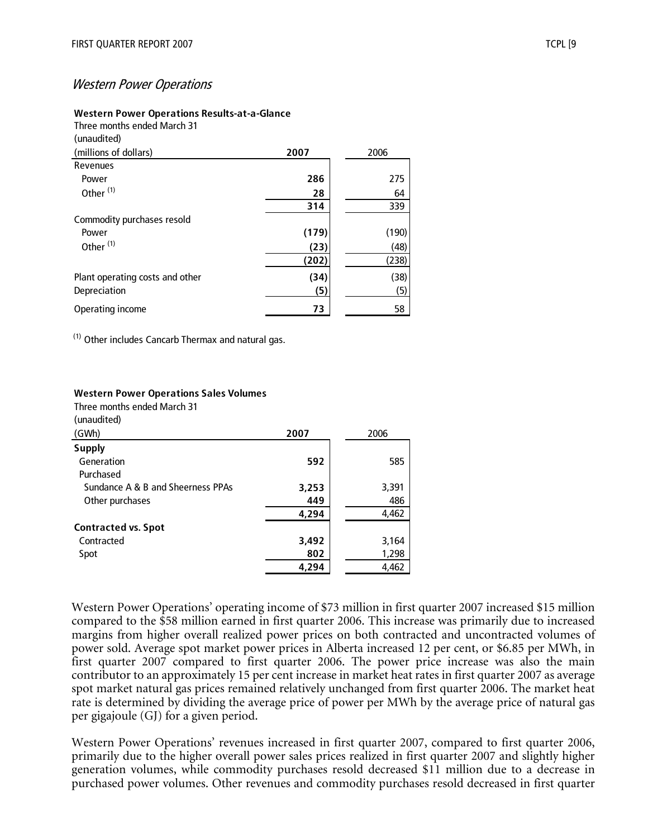#### Western Power Operations

#### **Western Power Operations Results-at-a-Glance**

Three months ended March 31 (unaudited)

| (millions of dollars)           | 2007  | 2006  |
|---------------------------------|-------|-------|
| Revenues                        |       |       |
| Power                           | 286   | 275   |
| Other <sup>(1)</sup>            | 28    | 64    |
|                                 | 314   | 339   |
| Commodity purchases resold      |       |       |
| Power                           | (179) | (190) |
| Other <sup>(1)</sup>            | (23)  | (48)  |
|                                 | (202) | (238) |
| Plant operating costs and other | (34)  | (38)  |
| Depreciation                    | (5)   | (5)   |
| Operating income                | 73    | 58    |

(1) Other includes Cancarb Thermax and natural gas.

#### **Western Power Operations Sales Volumes**

Three months ended March 31

(unaudited)

| (GWh)                             | 2007  | 2006  |
|-----------------------------------|-------|-------|
| <b>Supply</b>                     |       |       |
| Generation                        | 592   | 585   |
| Purchased                         |       |       |
| Sundance A & B and Sheerness PPAs | 3,253 | 3,391 |
| Other purchases                   | 449   | 486   |
|                                   | 4,294 | 4,462 |
| <b>Contracted vs. Spot</b>        |       |       |
| Contracted                        | 3,492 | 3,164 |
| Spot                              | 802   | 1,298 |
|                                   | 4,294 | 4,462 |

Western Power Operations' operating income of \$73 million in first quarter 2007 increased \$15 million compared to the \$58 million earned in first quarter 2006. This increase was primarily due to increased margins from higher overall realized power prices on both contracted and uncontracted volumes of power sold. Average spot market power prices in Alberta increased 12 per cent, or \$6.85 per MWh, in first quarter 2007 compared to first quarter 2006. The power price increase was also the main contributor to an approximately 15 per cent increase in market heat rates in first quarter 2007 as average spot market natural gas prices remained relatively unchanged from first quarter 2006. The market heat rate is determined by dividing the average price of power per MWh by the average price of natural gas per gigajoule (GJ) for a given period.

Western Power Operations' revenues increased in first quarter 2007, compared to first quarter 2006, primarily due to the higher overall power sales prices realized in first quarter 2007 and slightly higher generation volumes, while commodity purchases resold decreased \$11 million due to a decrease in purchased power volumes. Other revenues and commodity purchases resold decreased in first quarter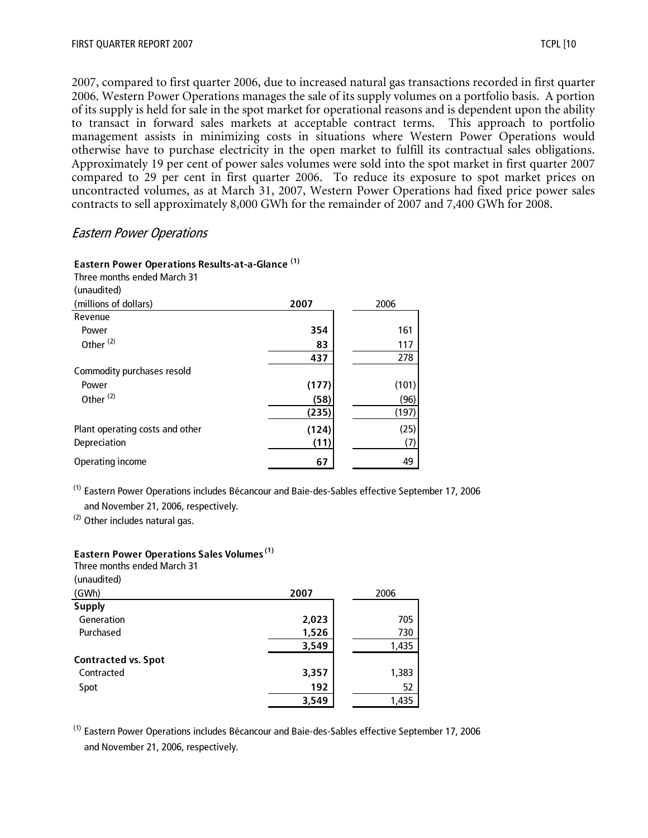2007, compared to first quarter 2006, due to increased natural gas transactions recorded in first quarter 2006. Western Power Operations manages the sale of its supply volumes on a portfolio basis. A portion of its supply is held for sale in the spot market for operational reasons and is dependent upon the ability to transact in forward sales markets at acceptable contract terms. This approach to portfolio management assists in minimizing costs in situations where Western Power Operations would otherwise have to purchase electricity in the open market to fulfill its contractual sales obligations. Approximately 19 per cent of power sales volumes were sold into the spot market in first quarter 2007 compared to 29 per cent in first quarter 2006. To reduce its exposure to spot market prices on uncontracted volumes, as at March 31, 2007, Western Power Operations had fixed price power sales contracts to sell approximately 8,000 GWh for the remainder of 2007 and 7,400 GWh for 2008.

#### Eastern Power Operations

**Eastern Power Operations Results-at-a-Glance (1)**

Three months ended March 31

| Three months ended March 3T     |       |       |
|---------------------------------|-------|-------|
| (unaudited)                     |       |       |
| (millions of dollars)           | 2007  | 2006  |
| Revenue                         |       |       |
| Power                           | 354   | 161   |
| Other <sup>(2)</sup>            | 83    | 117   |
|                                 | 437   | 278   |
| Commodity purchases resold      |       |       |
| Power                           | (177) | (101) |
| Other <sup>(2)</sup>            | (58)  | (96)  |
|                                 | (235) | (197) |
| Plant operating costs and other | (124) | (25)  |
| Depreciation                    | (11)  | (7)   |
| Operating income                | 67    | 49    |

(1) Eastern Power Operations includes Bécancour and Baie-des-Sables effective September 17, 2006 and November 21, 2006, respectively.

(2) Other includes natural gas.

**Eastern Power Operations Sales Volumes (1)**

| Three months ended March 31 |       |       |
|-----------------------------|-------|-------|
| (unaudited)                 |       |       |
| (GWh)                       | 2007  | 2006  |
| <b>Supply</b>               |       |       |
| Generation                  | 2,023 | 705   |
| Purchased                   | 1,526 | 730   |
|                             | 3,549 | 1,435 |
| <b>Contracted vs. Spot</b>  |       |       |
| Contracted                  | 3,357 | 1,383 |
| Spot                        | 192   | 52    |
|                             | 3,549 | 1,435 |

(1) Eastern Power Operations includes Bécancour and Baie-des-Sables effective September 17, 2006 and November 21, 2006, respectively.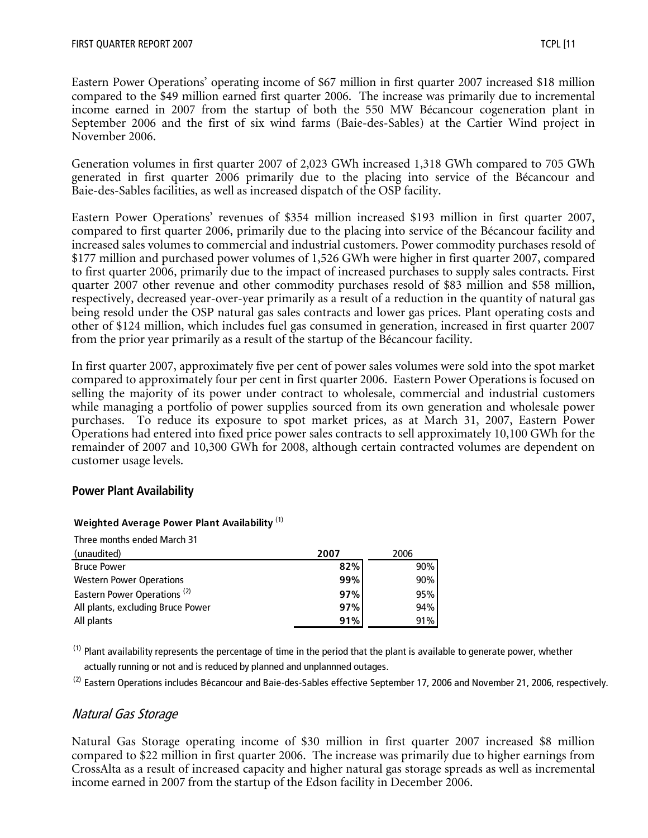Eastern Power Operations' operating income of \$67 million in first quarter 2007 increased \$18 million compared to the \$49 million earned first quarter 2006. The increase was primarily due to incremental income earned in 2007 from the startup of both the 550 MW Bécancour cogeneration plant in September 2006 and the first of six wind farms (Baie-des-Sables) at the Cartier Wind project in November 2006.

Generation volumes in first quarter 2007 of 2,023 GWh increased 1,318 GWh compared to 705 GWh generated in first quarter 2006 primarily due to the placing into service of the Bécancour and Baie-des-Sables facilities, as well as increased dispatch of the OSP facility.

Eastern Power Operations' revenues of \$354 million increased \$193 million in first quarter 2007, compared to first quarter 2006, primarily due to the placing into service of the Bécancour facility and increased sales volumes to commercial and industrial customers. Power commodity purchases resold of \$177 million and purchased power volumes of 1,526 GWh were higher in first quarter 2007, compared to first quarter 2006, primarily due to the impact of increased purchases to supply sales contracts. First quarter 2007 other revenue and other commodity purchases resold of \$83 million and \$58 million, respectively, decreased year-over-year primarily as a result of a reduction in the quantity of natural gas being resold under the OSP natural gas sales contracts and lower gas prices. Plant operating costs and other of \$124 million, which includes fuel gas consumed in generation, increased in first quarter 2007 from the prior year primarily as a result of the startup of the Bécancour facility.

In first quarter 2007, approximately five per cent of power sales volumes were sold into the spot market compared to approximately four per cent in first quarter 2006. Eastern Power Operations is focused on selling the majority of its power under contract to wholesale, commercial and industrial customers while managing a portfolio of power supplies sourced from its own generation and wholesale power purchases. To reduce its exposure to spot market prices, as at March 31, 2007, Eastern Power Operations had entered into fixed price power sales contracts to sell approximately 10,100 GWh for the remainder of 2007 and 10,300 GWh for 2008, although certain contracted volumes are dependent on customer usage levels.

#### **Power Plant Availability**

| Three months ended March 31             |      |      |
|-----------------------------------------|------|------|
| (unaudited)                             | 2007 | 2006 |
| <b>Bruce Power</b>                      | 82%  | 90%  |
| <b>Western Power Operations</b>         | 99%  | 90%  |
| Eastern Power Operations <sup>(2)</sup> | 97%  | 95%  |
| All plants, excluding Bruce Power       | 97%  | 94%  |
| All plants                              | 91%  | 91%  |

#### **Weighted Average Power Plant Availability** (1)

 $<sup>(1)</sup>$  Plant availability represents the percentage of time in the period that the plant is available to generate power, whether</sup> actually running or not and is reduced by planned and unplannned outages.

 $^{(2)}$  Eastern Operations includes Bécancour and Baie-des-Sables effective September 17, 2006 and November 21, 2006, respectively.

#### Natural Gas Storage

Natural Gas Storage operating income of \$30 million in first quarter 2007 increased \$8 million compared to \$22 million in first quarter 2006. The increase was primarily due to higher earnings from CrossAlta as a result of increased capacity and higher natural gas storage spreads as well as incremental income earned in 2007 from the startup of the Edson facility in December 2006.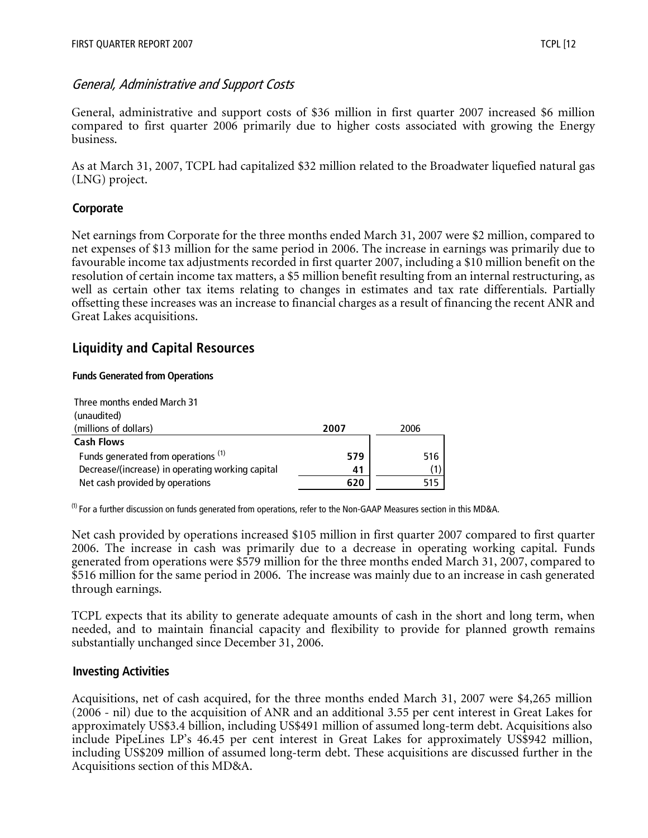## General, Administrative and Support Costs

General, administrative and support costs of \$36 million in first quarter 2007 increased \$6 million compared to first quarter 2006 primarily due to higher costs associated with growing the Energy business.

As at March 31, 2007, TCPL had capitalized \$32 million related to the Broadwater liquefied natural gas (LNG) project.

#### **Corporate**

Net earnings from Corporate for the three months ended March 31, 2007 were \$2 million, compared to net expenses of \$13 million for the same period in 2006. The increase in earnings was primarily due to favourable income tax adjustments recorded in first quarter 2007, including a \$10 million benefit on the resolution of certain income tax matters, a \$5 million benefit resulting from an internal restructuring, as well as certain other tax items relating to changes in estimates and tax rate differentials. Partially offsetting these increases was an increase to financial charges as a result of financing the recent ANR and Great Lakes acquisitions.

# **Liquidity and Capital Resources**

#### **Funds Generated from Operations**

| Three months ended March 31                      |      |      |
|--------------------------------------------------|------|------|
| (unaudited)                                      |      |      |
| (millions of dollars)                            | 2007 | 2006 |
| <b>Cash Flows</b>                                |      |      |
| Funds generated from operations <sup>(1)</sup>   | 579  | 516  |
| Decrease/(increase) in operating working capital | 41   |      |
| Net cash provided by operations                  | 620  |      |

 $^{(1)}$  For a further discussion on funds generated from operations, refer to the Non-GAAP Measures section in this MD&A.

Net cash provided by operations increased \$105 million in first quarter 2007 compared to first quarter 2006. The increase in cash was primarily due to a decrease in operating working capital. Funds generated from operations were \$579 million for the three months ended March 31, 2007, compared to \$516 million for the same period in 2006. The increase was mainly due to an increase in cash generated through earnings.

TCPL expects that its ability to generate adequate amounts of cash in the short and long term, when needed, and to maintain financial capacity and flexibility to provide for planned growth remains substantially unchanged since December 31, 2006.

#### **Investing Activities**

Acquisitions, net of cash acquired, for the three months ended March 31, 2007 were \$4,265 million (2006 - nil) due to the acquisition of ANR and an additional 3.55 per cent interest in Great Lakes for approximately US\$3.4 billion, including US\$491 million of assumed long-term debt. Acquisitions also include PipeLines LP's 46.45 per cent interest in Great Lakes for approximately US\$942 million, including US\$209 million of assumed long-term debt. These acquisitions are discussed further in the Acquisitions section of this MD&A.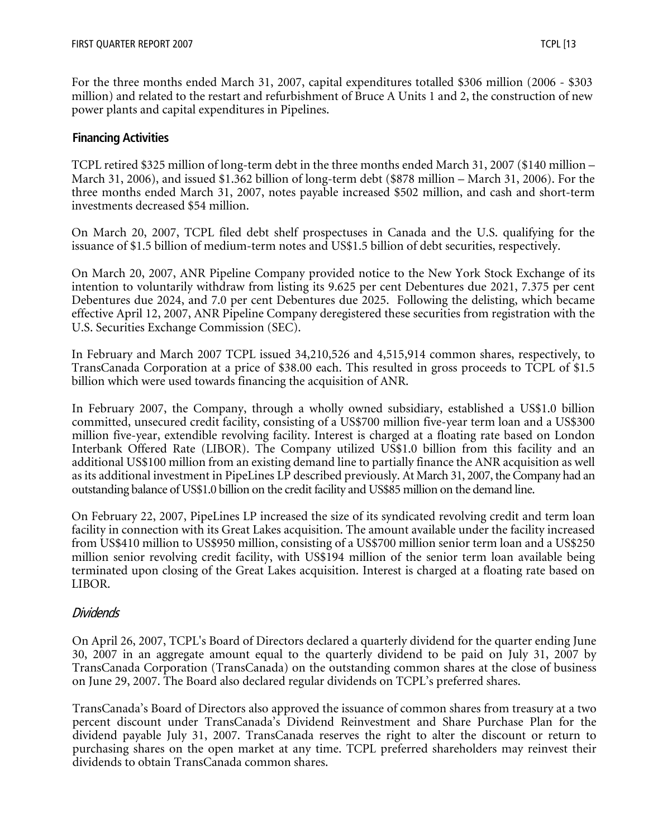For the three months ended March 31, 2007, capital expenditures totalled \$306 million (2006 - \$303 million) and related to the restart and refurbishment of Bruce A Units 1 and 2, the construction of new power plants and capital expenditures in Pipelines.

#### **Financing Activities**

TCPL retired \$325 million of long-term debt in the three months ended March 31, 2007 (\$140 million – March 31, 2006), and issued \$1.362 billion of long-term debt (\$878 million – March 31, 2006). For the three months ended March 31, 2007, notes payable increased \$502 million, and cash and short-term investments decreased \$54 million.

On March 20, 2007, TCPL filed debt shelf prospectuses in Canada and the U.S. qualifying for the issuance of \$1.5 billion of medium-term notes and US\$1.5 billion of debt securities, respectively.

On March 20, 2007, ANR Pipeline Company provided notice to the New York Stock Exchange of its intention to voluntarily withdraw from listing its 9.625 per cent Debentures due 2021, 7.375 per cent Debentures due 2024, and 7.0 per cent Debentures due 2025. Following the delisting, which became effective April 12, 2007, ANR Pipeline Company deregistered these securities from registration with the U.S. Securities Exchange Commission (SEC).

In February and March 2007 TCPL issued 34,210,526 and 4,515,914 common shares, respectively, to TransCanada Corporation at a price of \$38.00 each. This resulted in gross proceeds to TCPL of \$1.5 billion which were used towards financing the acquisition of ANR.

In February 2007, the Company, through a wholly owned subsidiary, established a US\$1.0 billion committed, unsecured credit facility, consisting of a US\$700 million five-year term loan and a US\$300 million five-year, extendible revolving facility. Interest is charged at a floating rate based on London Interbank Offered Rate (LIBOR). The Company utilized US\$1.0 billion from this facility and an additional US\$100 million from an existing demand line to partially finance the ANR acquisition as well as its additional investment in PipeLines LP described previously. At March 31, 2007, the Company had an outstanding balance of US\$1.0 billion on the credit facility and US\$85 million on the demand line.

On February 22, 2007, PipeLines LP increased the size of its syndicated revolving credit and term loan facility in connection with its Great Lakes acquisition. The amount available under the facility increased from US\$410 million to US\$950 million, consisting of a US\$700 million senior term loan and a US\$250 million senior revolving credit facility, with US\$194 million of the senior term loan available being terminated upon closing of the Great Lakes acquisition. Interest is charged at a floating rate based on LIBOR.

#### Dividends

On April 26, 2007, TCPL's Board of Directors declared a quarterly dividend for the quarter ending June 30, 2007 in an aggregate amount equal to the quarterly dividend to be paid on July 31, 2007 by TransCanada Corporation (TransCanada) on the outstanding common shares at the close of business on June 29, 2007. The Board also declared regular dividends on TCPL's preferred shares.

TransCanada's Board of Directors also approved the issuance of common shares from treasury at a two percent discount under TransCanada's Dividend Reinvestment and Share Purchase Plan for the dividend payable July 31, 2007. TransCanada reserves the right to alter the discount or return to purchasing shares on the open market at any time. TCPL preferred shareholders may reinvest their dividends to obtain TransCanada common shares.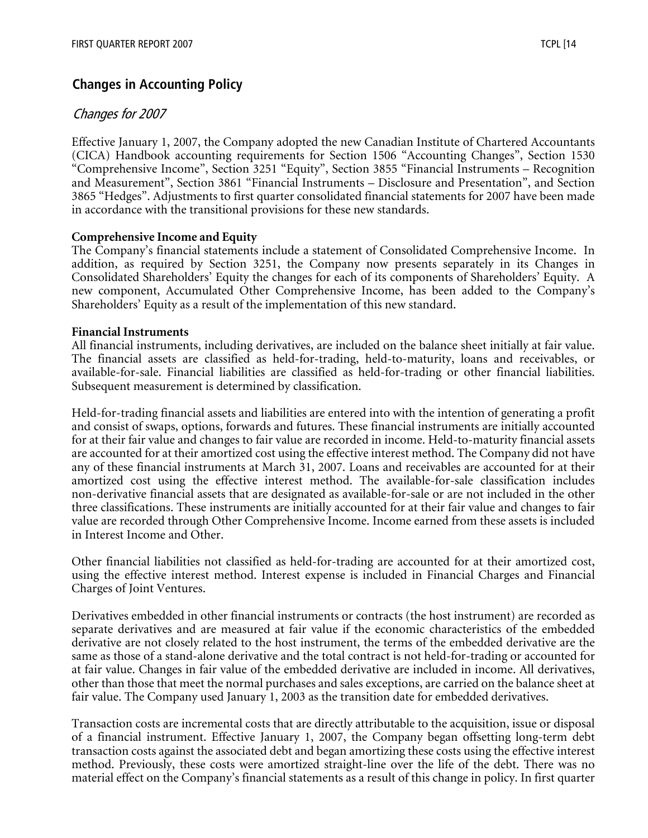# **Changes in Accounting Policy**

## Changes for 2007

Effective January 1, 2007, the Company adopted the new Canadian Institute of Chartered Accountants (CICA) Handbook accounting requirements for Section 1506 "Accounting Changes", Section 1530 "Comprehensive Income", Section 3251 "Equity", Section 3855 "Financial Instruments – Recognition and Measurement", Section 3861 "Financial Instruments – Disclosure and Presentation", and Section 3865 "Hedges". Adjustments to first quarter consolidated financial statements for 2007 have been made in accordance with the transitional provisions for these new standards.

#### **Comprehensive Income and Equity**

The Company's financial statements include a statement of Consolidated Comprehensive Income. In addition, as required by Section 3251, the Company now presents separately in its Changes in Consolidated Shareholders' Equity the changes for each of its components of Shareholders' Equity. A new component, Accumulated Other Comprehensive Income, has been added to the Company's Shareholders' Equity as a result of the implementation of this new standard.

#### **Financial Instruments**

All financial instruments, including derivatives, are included on the balance sheet initially at fair value. The financial assets are classified as held-for-trading, held-to-maturity, loans and receivables, or available-for-sale. Financial liabilities are classified as held-for-trading or other financial liabilities. Subsequent measurement is determined by classification.

Held-for-trading financial assets and liabilities are entered into with the intention of generating a profit and consist of swaps, options, forwards and futures. These financial instruments are initially accounted for at their fair value and changes to fair value are recorded in income. Held-to-maturity financial assets are accounted for at their amortized cost using the effective interest method. The Company did not have any of these financial instruments at March 31, 2007. Loans and receivables are accounted for at their amortized cost using the effective interest method. The available-for-sale classification includes non-derivative financial assets that are designated as available-for-sale or are not included in the other three classifications. These instruments are initially accounted for at their fair value and changes to fair value are recorded through Other Comprehensive Income. Income earned from these assets is included in Interest Income and Other.

Other financial liabilities not classified as held-for-trading are accounted for at their amortized cost, using the effective interest method. Interest expense is included in Financial Charges and Financial Charges of Joint Ventures.

Derivatives embedded in other financial instruments or contracts (the host instrument) are recorded as separate derivatives and are measured at fair value if the economic characteristics of the embedded derivative are not closely related to the host instrument, the terms of the embedded derivative are the same as those of a stand-alone derivative and the total contract is not held-for-trading or accounted for at fair value. Changes in fair value of the embedded derivative are included in income. All derivatives, other than those that meet the normal purchases and sales exceptions, are carried on the balance sheet at fair value. The Company used January 1, 2003 as the transition date for embedded derivatives.

Transaction costs are incremental costs that are directly attributable to the acquisition, issue or disposal of a financial instrument. Effective January 1, 2007, the Company began offsetting long-term debt transaction costs against the associated debt and began amortizing these costs using the effective interest method. Previously, these costs were amortized straight-line over the life of the debt. There was no material effect on the Company's financial statements as a result of this change in policy. In first quarter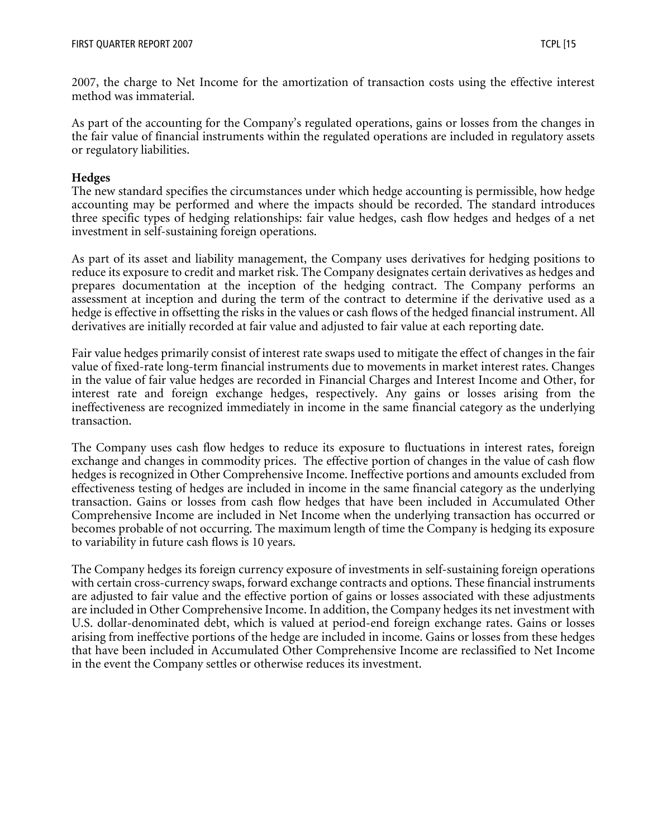2007, the charge to Net Income for the amortization of transaction costs using the effective interest method was immaterial.

As part of the accounting for the Company's regulated operations, gains or losses from the changes in the fair value of financial instruments within the regulated operations are included in regulatory assets or regulatory liabilities.

#### **Hedges**

The new standard specifies the circumstances under which hedge accounting is permissible, how hedge accounting may be performed and where the impacts should be recorded. The standard introduces three specific types of hedging relationships: fair value hedges, cash flow hedges and hedges of a net investment in self-sustaining foreign operations.

As part of its asset and liability management, the Company uses derivatives for hedging positions to reduce its exposure to credit and market risk. The Company designates certain derivatives as hedges and prepares documentation at the inception of the hedging contract. The Company performs an assessment at inception and during the term of the contract to determine if the derivative used as a hedge is effective in offsetting the risks in the values or cash flows of the hedged financial instrument. All derivatives are initially recorded at fair value and adjusted to fair value at each reporting date.

Fair value hedges primarily consist of interest rate swaps used to mitigate the effect of changes in the fair value of fixed-rate long-term financial instruments due to movements in market interest rates. Changes in the value of fair value hedges are recorded in Financial Charges and Interest Income and Other, for interest rate and foreign exchange hedges, respectively. Any gains or losses arising from the ineffectiveness are recognized immediately in income in the same financial category as the underlying transaction.

The Company uses cash flow hedges to reduce its exposure to fluctuations in interest rates, foreign exchange and changes in commodity prices. The effective portion of changes in the value of cash flow hedges is recognized in Other Comprehensive Income. Ineffective portions and amounts excluded from effectiveness testing of hedges are included in income in the same financial category as the underlying transaction. Gains or losses from cash flow hedges that have been included in Accumulated Other Comprehensive Income are included in Net Income when the underlying transaction has occurred or becomes probable of not occurring. The maximum length of time the Company is hedging its exposure to variability in future cash flows is 10 years.

The Company hedges its foreign currency exposure of investments in self-sustaining foreign operations with certain cross-currency swaps, forward exchange contracts and options. These financial instruments are adjusted to fair value and the effective portion of gains or losses associated with these adjustments are included in Other Comprehensive Income. In addition, the Company hedges its net investment with U.S. dollar-denominated debt, which is valued at period-end foreign exchange rates. Gains or losses arising from ineffective portions of the hedge are included in income. Gains or losses from these hedges that have been included in Accumulated Other Comprehensive Income are reclassified to Net Income in the event the Company settles or otherwise reduces its investment.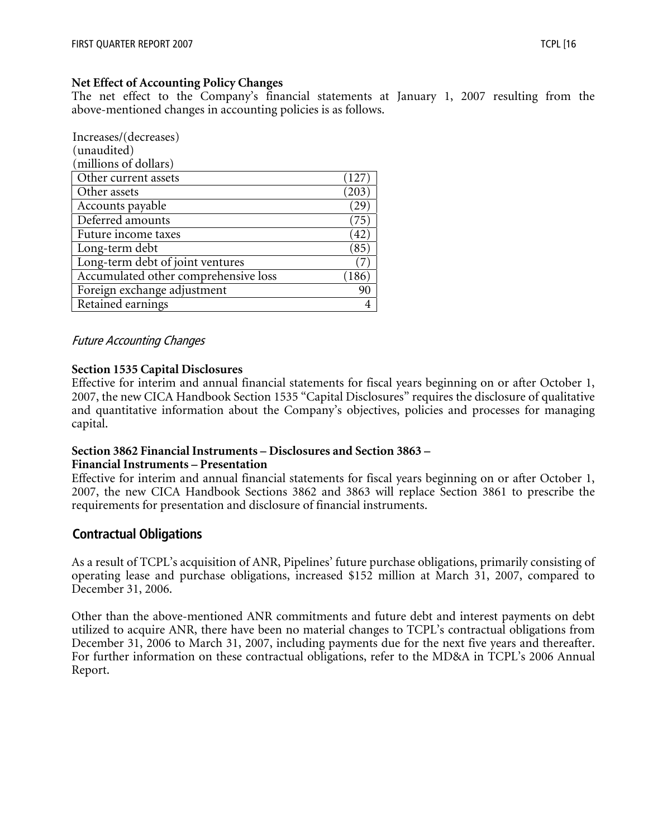#### **Net Effect of Accounting Policy Changes**

The net effect to the Company's financial statements at January 1, 2007 resulting from the above-mentioned changes in accounting policies is as follows.

| Increases/(decreases)                |                |
|--------------------------------------|----------------|
| (unaudited)                          |                |
| (millions of dollars)                |                |
| Other current assets                 |                |
| Other assets                         | 203            |
| Accounts payable                     | 29             |
| Deferred amounts                     | 75             |
| Future income taxes                  | 42             |
| Long-term debt                       | $^{\prime}85$  |
| Long-term debt of joint ventures     |                |
| Accumulated other comprehensive loss | <sup>186</sup> |
| Foreign exchange adjustment          |                |
| Retained earnings                    |                |

#### Future Accounting Changes

#### **Section 1535 Capital Disclosures**

Effective for interim and annual financial statements for fiscal years beginning on or after October 1, 2007, the new CICA Handbook Section 1535 "Capital Disclosures" requires the disclosure of qualitative and quantitative information about the Company's objectives, policies and processes for managing capital.

#### **Section 3862 Financial Instruments – Disclosures and Section 3863 –**

#### **Financial Instruments – Presentation**

Effective for interim and annual financial statements for fiscal years beginning on or after October 1, 2007, the new CICA Handbook Sections 3862 and 3863 will replace Section 3861 to prescribe the requirements for presentation and disclosure of financial instruments.

#### **Contractual Obligations**

As a result of TCPL's acquisition of ANR, Pipelines' future purchase obligations, primarily consisting of operating lease and purchase obligations, increased \$152 million at March 31, 2007, compared to December 31, 2006.

Other than the above-mentioned ANR commitments and future debt and interest payments on debt utilized to acquire ANR, there have been no material changes to TCPL's contractual obligations from December 31, 2006 to March 31, 2007, including payments due for the next five years and thereafter. For further information on these contractual obligations, refer to the MD&A in TCPL's 2006 Annual Report.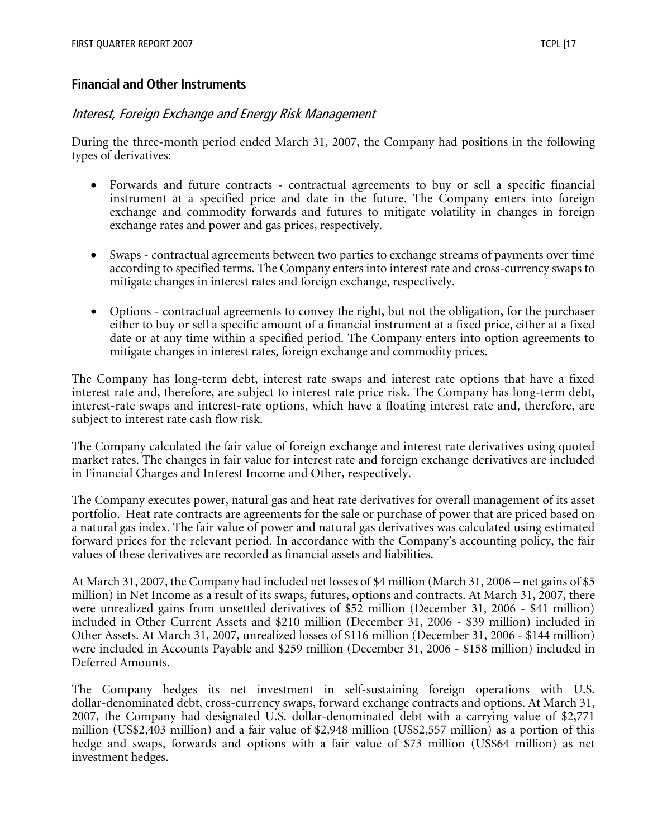#### **Financial and Other Instruments**

#### Interest, Foreign Exchange and Energy Risk Management

During the three-month period ended March 31, 2007, the Company had positions in the following types of derivatives:

- Forwards and future contracts contractual agreements to buy or sell a specific financial instrument at a specified price and date in the future. The Company enters into foreign exchange and commodity forwards and futures to mitigate volatility in changes in foreign exchange rates and power and gas prices, respectively.
- Swaps contractual agreements between two parties to exchange streams of payments over time according to specified terms. The Company enters into interest rate and cross-currency swaps to mitigate changes in interest rates and foreign exchange, respectively.
- Options contractual agreements to convey the right, but not the obligation, for the purchaser either to buy or sell a specific amount of a financial instrument at a fixed price, either at a fixed date or at any time within a specified period. The Company enters into option agreements to mitigate changes in interest rates, foreign exchange and commodity prices.

The Company has long-term debt, interest rate swaps and interest rate options that have a fixed interest rate and, therefore, are subject to interest rate price risk. The Company has long-term debt, interest-rate swaps and interest-rate options, which have a floating interest rate and, therefore, are subject to interest rate cash flow risk.

The Company calculated the fair value of foreign exchange and interest rate derivatives using quoted market rates. The changes in fair value for interest rate and foreign exchange derivatives are included in Financial Charges and Interest Income and Other, respectively.

The Company executes power, natural gas and heat rate derivatives for overall management of its asset portfolio. Heat rate contracts are agreements for the sale or purchase of power that are priced based on a natural gas index. The fair value of power and natural gas derivatives was calculated using estimated forward prices for the relevant period. In accordance with the Company's accounting policy, the fair values of these derivatives are recorded as financial assets and liabilities.

At March 31, 2007, the Company had included net losses of \$4 million (March 31, 2006 – net gains of \$5 million) in Net Income as a result of its swaps, futures, options and contracts. At March 31, 2007, there were unrealized gains from unsettled derivatives of \$52 million (December 31, 2006 - \$41 million) included in Other Current Assets and \$210 million (December 31, 2006 - \$39 million) included in Other Assets. At March 31, 2007, unrealized losses of \$116 million (December 31, 2006 - \$144 million) were included in Accounts Payable and \$259 million (December 31, 2006 - \$158 million) included in Deferred Amounts.

The Company hedges its net investment in self-sustaining foreign operations with U.S. dollar-denominated debt, cross-currency swaps, forward exchange contracts and options. At March 31, 2007, the Company had designated U.S. dollar-denominated debt with a carrying value of \$2,771 million (US\$2,403 million) and a fair value of \$2,948 million (US\$2,557 million) as a portion of this hedge and swaps, forwards and options with a fair value of \$73 million (US\$64 million) as net investment hedges.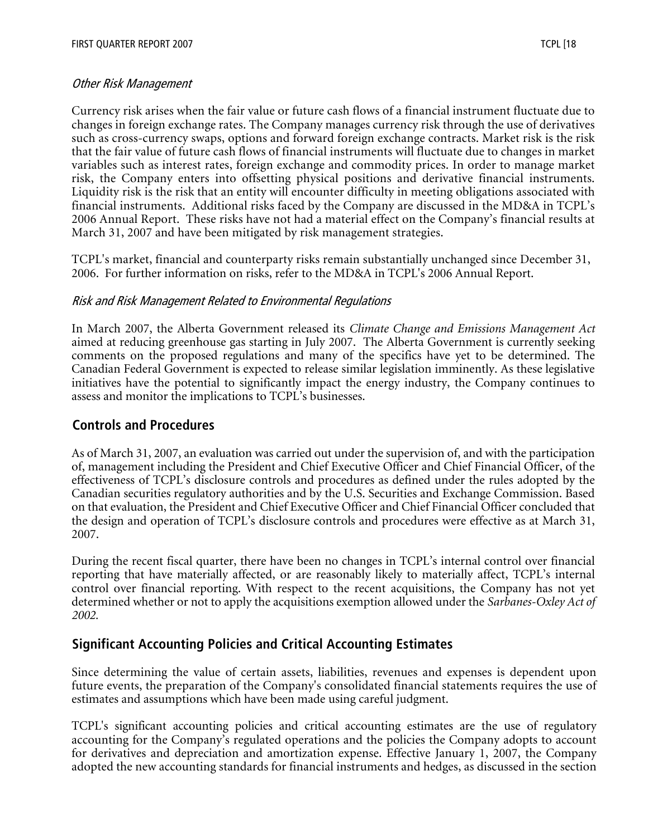#### Other Risk Management

Currency risk arises when the fair value or future cash flows of a financial instrument fluctuate due to changes in foreign exchange rates. The Company manages currency risk through the use of derivatives such as cross-currency swaps, options and forward foreign exchange contracts. Market risk is the risk that the fair value of future cash flows of financial instruments will fluctuate due to changes in market variables such as interest rates, foreign exchange and commodity prices. In order to manage market risk, the Company enters into offsetting physical positions and derivative financial instruments. Liquidity risk is the risk that an entity will encounter difficulty in meeting obligations associated with financial instruments. Additional risks faced by the Company are discussed in the MD&A in TCPL's 2006 Annual Report. These risks have not had a material effect on the Company's financial results at March 31, 2007 and have been mitigated by risk management strategies.

TCPL's market, financial and counterparty risks remain substantially unchanged since December 31, 2006. For further information on risks, refer to the MD&A in TCPL's 2006 Annual Report.

#### Risk and Risk Management Related to Environmental Regulations

In March 2007, the Alberta Government released its *Climate Change and Emissions Management Act* aimed at reducing greenhouse gas starting in July 2007. The Alberta Government is currently seeking comments on the proposed regulations and many of the specifics have yet to be determined. The Canadian Federal Government is expected to release similar legislation imminently. As these legislative initiatives have the potential to significantly impact the energy industry, the Company continues to assess and monitor the implications to TCPL's businesses.

#### **Controls and Procedures**

As of March 31, 2007, an evaluation was carried out under the supervision of, and with the participation of, management including the President and Chief Executive Officer and Chief Financial Officer, of the effectiveness of TCPL's disclosure controls and procedures as defined under the rules adopted by the Canadian securities regulatory authorities and by the U.S. Securities and Exchange Commission. Based on that evaluation, the President and Chief Executive Officer and Chief Financial Officer concluded that the design and operation of TCPL's disclosure controls and procedures were effective as at March 31, 2007.

During the recent fiscal quarter, there have been no changes in TCPL's internal control over financial reporting that have materially affected, or are reasonably likely to materially affect, TCPL's internal control over financial reporting. With respect to the recent acquisitions, the Company has not yet determined whether or not to apply the acquisitions exemption allowed under the *Sarbanes-Oxley Act of 2002.*

## **Significant Accounting Policies and Critical Accounting Estimates**

Since determining the value of certain assets, liabilities, revenues and expenses is dependent upon future events, the preparation of the Company's consolidated financial statements requires the use of estimates and assumptions which have been made using careful judgment.

TCPL's significant accounting policies and critical accounting estimates are the use of regulatory accounting for the Company's regulated operations and the policies the Company adopts to account for derivatives and depreciation and amortization expense. Effective January 1, 2007, the Company adopted the new accounting standards for financial instruments and hedges, as discussed in the section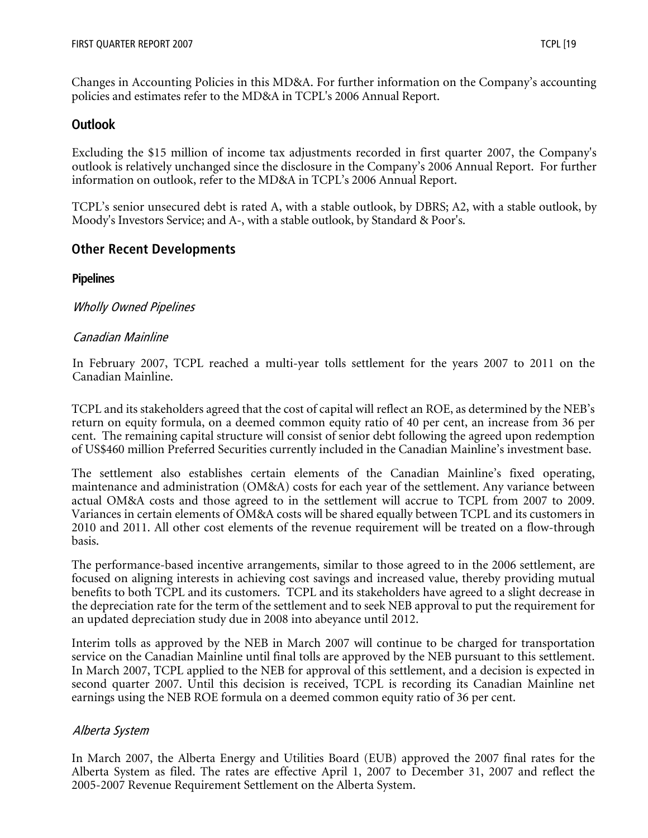Changes in Accounting Policies in this MD&A. For further information on the Company's accounting policies and estimates refer to the MD&A in TCPL's 2006 Annual Report.

# **Outlook**

Excluding the \$15 million of income tax adjustments recorded in first quarter 2007, the Company's outlook is relatively unchanged since the disclosure in the Company's 2006 Annual Report. For further information on outlook, refer to the MD&A in TCPL's 2006 Annual Report.

TCPL's senior unsecured debt is rated A, with a stable outlook, by DBRS; A2, with a stable outlook, by Moody's Investors Service; and A-, with a stable outlook, by Standard & Poor's.

## **Other Recent Developments**

## **Pipelines**

## Wholly Owned Pipelines

## Canadian Mainline

In February 2007, TCPL reached a multi-year tolls settlement for the years 2007 to 2011 on the Canadian Mainline.

TCPL and its stakeholders agreed that the cost of capital will reflect an ROE, as determined by the NEB's return on equity formula, on a deemed common equity ratio of 40 per cent, an increase from 36 per cent. The remaining capital structure will consist of senior debt following the agreed upon redemption of US\$460 million Preferred Securities currently included in the Canadian Mainline's investment base.

The settlement also establishes certain elements of the Canadian Mainline's fixed operating, maintenance and administration (OM&A) costs for each year of the settlement. Any variance between actual OM&A costs and those agreed to in the settlement will accrue to TCPL from 2007 to 2009. Variances in certain elements of OM&A costs will be shared equally between TCPL and its customers in 2010 and 2011. All other cost elements of the revenue requirement will be treated on a flow-through basis.

The performance-based incentive arrangements, similar to those agreed to in the 2006 settlement, are focused on aligning interests in achieving cost savings and increased value, thereby providing mutual benefits to both TCPL and its customers. TCPL and its stakeholders have agreed to a slight decrease in the depreciation rate for the term of the settlement and to seek NEB approval to put the requirement for an updated depreciation study due in 2008 into abeyance until 2012.

Interim tolls as approved by the NEB in March 2007 will continue to be charged for transportation service on the Canadian Mainline until final tolls are approved by the NEB pursuant to this settlement. In March 2007, TCPL applied to the NEB for approval of this settlement, and a decision is expected in second quarter 2007. Until this decision is received, TCPL is recording its Canadian Mainline net earnings using the NEB ROE formula on a deemed common equity ratio of 36 per cent.

## Alberta System

In March 2007, the Alberta Energy and Utilities Board (EUB) approved the 2007 final rates for the Alberta System as filed. The rates are effective April 1, 2007 to December 31, 2007 and reflect the 2005-2007 Revenue Requirement Settlement on the Alberta System.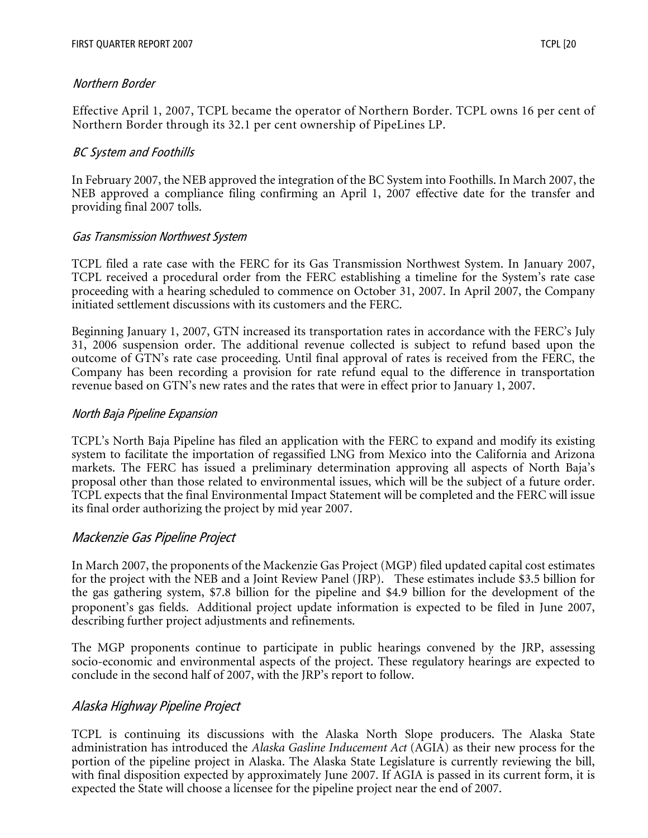Effective April 1, 2007, TCPL became the operator of Northern Border. TCPL owns 16 per cent of Northern Border through its 32.1 per cent ownership of PipeLines LP.

## BC System and Foothills

In February 2007, the NEB approved the integration of the BC System into Foothills. In March 2007, the NEB approved a compliance filing confirming an April 1, 2007 effective date for the transfer and providing final 2007 tolls.

#### Gas Transmission Northwest System

TCPL filed a rate case with the FERC for its Gas Transmission Northwest System. In January 2007, TCPL received a procedural order from the FERC establishing a timeline for the System's rate case proceeding with a hearing scheduled to commence on October 31, 2007. In April 2007, the Company initiated settlement discussions with its customers and the FERC.

Beginning January 1, 2007, GTN increased its transportation rates in accordance with the FERC's July 31, 2006 suspension order. The additional revenue collected is subject to refund based upon the outcome of GTN's rate case proceeding. Until final approval of rates is received from the FERC, the Company has been recording a provision for rate refund equal to the difference in transportation revenue based on GTN's new rates and the rates that were in effect prior to January 1, 2007.

#### North Baja Pipeline Expansion

TCPL's North Baja Pipeline has filed an application with the FERC to expand and modify its existing system to facilitate the importation of regassified LNG from Mexico into the California and Arizona markets. The FERC has issued a preliminary determination approving all aspects of North Baja's proposal other than those related to environmental issues, which will be the subject of a future order. TCPL expects that the final Environmental Impact Statement will be completed and the FERC will issue its final order authorizing the project by mid year 2007.

## Mackenzie Gas Pipeline Project

In March 2007, the proponents of the Mackenzie Gas Project (MGP) filed updated capital cost estimates for the project with the NEB and a Joint Review Panel (JRP). These estimates include \$3.5 billion for the gas gathering system, \$7.8 billion for the pipeline and \$4.9 billion for the development of the proponent's gas fields. Additional project update information is expected to be filed in June 2007, describing further project adjustments and refinements.

The MGP proponents continue to participate in public hearings convened by the JRP, assessing socio-economic and environmental aspects of the project. These regulatory hearings are expected to conclude in the second half of 2007, with the JRP's report to follow.

## Alaska Highway Pipeline Project

TCPL is continuing its discussions with the Alaska North Slope producers. The Alaska State administration has introduced the *Alaska Gasline Inducement Act* (AGIA) as their new process for the portion of the pipeline project in Alaska. The Alaska State Legislature is currently reviewing the bill, with final disposition expected by approximately June 2007. If AGIA is passed in its current form, it is expected the State will choose a licensee for the pipeline project near the end of 2007.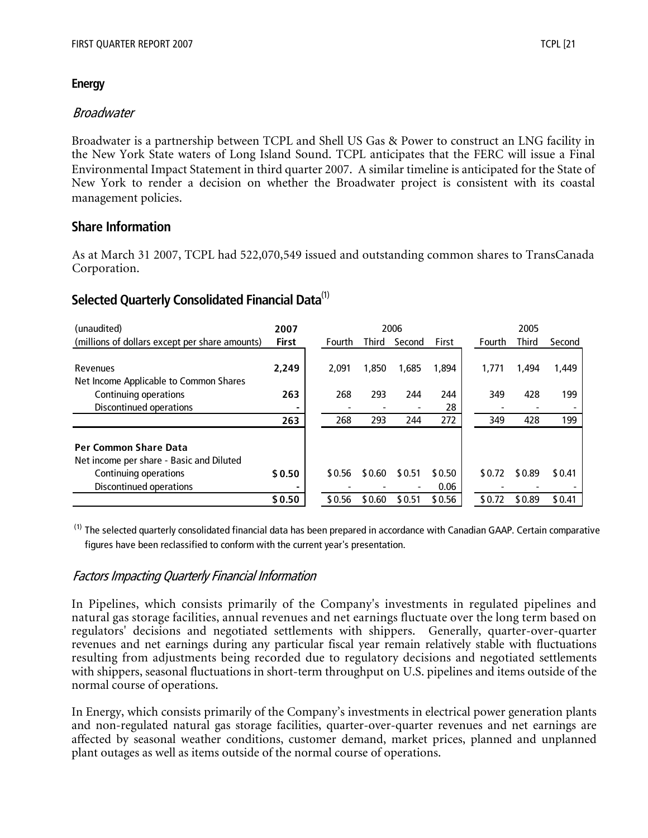#### **Energy**

## Broadwater

Broadwater is a partnership between TCPL and Shell US Gas & Power to construct an LNG facility in the New York State waters of Long Island Sound. TCPL anticipates that the FERC will issue a Final Environmental Impact Statement in third quarter 2007. A similar timeline is anticipated for the State of New York to render a decision on whether the Broadwater project is consistent with its coastal management policies.

## **Share Information**

As at March 31 2007, TCPL had 522,070,549 issued and outstanding common shares to TransCanada Corporation.

# **Selected Quarterly Consolidated Financial Data**(1)

| (unaudited)                                                                                                                  | 2007         |        |        | 2006   |                |        | 2005         |        |
|------------------------------------------------------------------------------------------------------------------------------|--------------|--------|--------|--------|----------------|--------|--------------|--------|
| (millions of dollars except per share amounts)                                                                               | <b>First</b> | Fourth | Third  | Second | First          | Fourth | <b>Third</b> | Second |
|                                                                                                                              |              |        |        |        |                |        |              |        |
| Revenues                                                                                                                     | 2.249        | 2.091  | 1,850  | 1,685  | 1,894          | 1,771  | 1,494        | 1,449  |
| Net Income Applicable to Common Shares                                                                                       |              |        |        |        |                |        |              |        |
| Continuing operations                                                                                                        | 263          | 268    | 293    | 244    | 244            | 349    | 428          | 199    |
| Discontinued operations                                                                                                      |              |        |        |        | 28             |        |              |        |
|                                                                                                                              | 263          | 268    | 293    | 244    | 272            | 349    | 428          | 199    |
| <b>Per Common Share Data</b><br>Net income per share - Basic and Diluted<br>Continuing operations<br>Discontinued operations | \$0.50       | \$0.56 | \$0.60 | \$0.51 | \$0.50<br>0.06 | \$0.72 | \$0.89       | \$0.41 |
|                                                                                                                              |              |        |        |        |                |        |              |        |
|                                                                                                                              | \$0.50       | \$0.56 | \$0.60 | \$0.51 | \$0.56         | \$0.72 | \$0.89       | \$0.41 |

<sup>(1)</sup> The selected quarterly consolidated financial data has been prepared in accordance with Canadian GAAP. Certain comparative figures have been reclassified to conform with the current year's presentation.

## Factors Impacting Quarterly Financial Information

In Pipelines, which consists primarily of the Company's investments in regulated pipelines and natural gas storage facilities, annual revenues and net earnings fluctuate over the long term based on regulators' decisions and negotiated settlements with shippers. Generally, quarter-over-quarter revenues and net earnings during any particular fiscal year remain relatively stable with fluctuations resulting from adjustments being recorded due to regulatory decisions and negotiated settlements with shippers, seasonal fluctuations in short-term throughput on U.S. pipelines and items outside of the normal course of operations.

In Energy, which consists primarily of the Company's investments in electrical power generation plants and non-regulated natural gas storage facilities, quarter-over-quarter revenues and net earnings are affected by seasonal weather conditions, customer demand, market prices, planned and unplanned plant outages as well as items outside of the normal course of operations.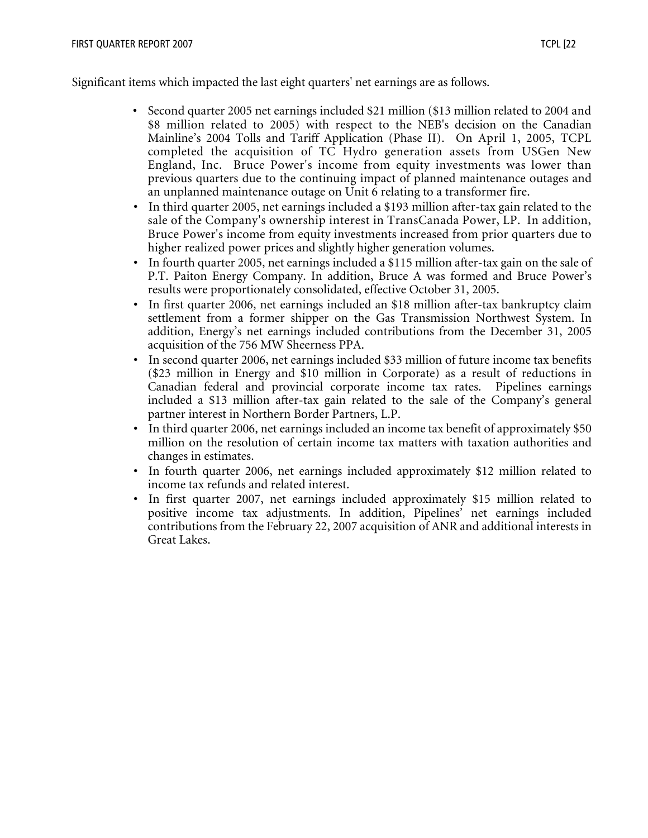Significant items which impacted the last eight quarters' net earnings are as follows.

- Second quarter 2005 net earnings included \$21 million (\$13 million related to 2004 and \$8 million related to 2005) with respect to the NEB's decision on the Canadian Mainline's 2004 Tolls and Tariff Application (Phase II). On April 1, 2005, TCPL completed the acquisition of TC Hydro generation assets from USGen New England, Inc. Bruce Power's income from equity investments was lower than previous quarters due to the continuing impact of planned maintenance outages and an unplanned maintenance outage on Unit 6 relating to a transformer fire.
- In third quarter 2005, net earnings included a \$193 million after-tax gain related to the sale of the Company's ownership interest in TransCanada Power, LP. In addition, Bruce Power's income from equity investments increased from prior quarters due to higher realized power prices and slightly higher generation volumes.
- In fourth quarter 2005, net earnings included a \$115 million after-tax gain on the sale of P.T. Paiton Energy Company. In addition, Bruce A was formed and Bruce Power's results were proportionately consolidated, effective October 31, 2005.
- In first quarter 2006, net earnings included an \$18 million after-tax bankruptcy claim settlement from a former shipper on the Gas Transmission Northwest System. In addition, Energy's net earnings included contributions from the December 31, 2005 acquisition of the 756 MW Sheerness PPA.
- In second quarter 2006, net earnings included \$33 million of future income tax benefits (\$23 million in Energy and \$10 million in Corporate) as a result of reductions in Canadian federal and provincial corporate income tax rates. Pipelines earnings included a \$13 million after-tax gain related to the sale of the Company's general partner interest in Northern Border Partners, L.P.
- In third quarter 2006, net earnings included an income tax benefit of approximately \$50 million on the resolution of certain income tax matters with taxation authorities and changes in estimates.
- In fourth quarter 2006, net earnings included approximately \$12 million related to income tax refunds and related interest.
- In first quarter 2007, net earnings included approximately \$15 million related to positive income tax adjustments. In addition, Pipelines' net earnings included contributions from the February 22, 2007 acquisition of ANR and additional interests in Great Lakes.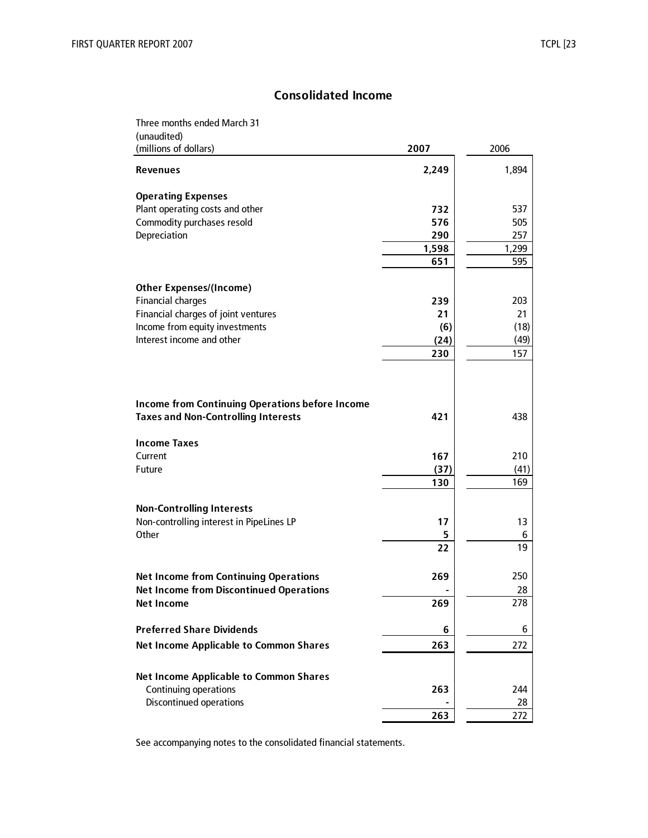## **Consolidated Income**

| Three months ended March 31                            |       |         |
|--------------------------------------------------------|-------|---------|
| (unaudited)<br>(millions of dollars)                   | 2007  | 2006    |
| <b>Revenues</b>                                        | 2,249 | 1,894   |
| <b>Operating Expenses</b>                              |       |         |
| Plant operating costs and other                        | 732   | 537     |
| Commodity purchases resold                             | 576   | 505     |
| Depreciation                                           | 290   | 257     |
|                                                        | 1,598 | 1,299   |
|                                                        | 651   | 595     |
| <b>Other Expenses/(Income)</b>                         |       |         |
| <b>Financial charges</b>                               | 239   | 203     |
| Financial charges of joint ventures                    | 21    | 21      |
| Income from equity investments                         | (6)   | (18)    |
| Interest income and other                              | (24)  | (49)    |
|                                                        | 230   | 157     |
| <b>Income from Continuing Operations before Income</b> |       |         |
| <b>Taxes and Non-Controlling Interests</b>             | 421   | 438     |
| <b>Income Taxes</b>                                    |       |         |
| Current                                                | 167   | 210     |
| Future                                                 | (37)  | (41)    |
|                                                        | 130   | 169     |
|                                                        |       |         |
| <b>Non-Controlling Interests</b>                       | 17    |         |
| Non-controlling interest in PipeLines LP<br>Other      | 5     | 13<br>6 |
|                                                        | 22    | 19      |
|                                                        |       |         |
| <b>Net Income from Continuing Operations</b>           | 269   | 250     |
| <b>Net Income from Discontinued Operations</b>         |       | 28      |
| <b>Net Income</b>                                      | 269   | 278     |
| <b>Preferred Share Dividends</b>                       | 6     | 6       |
| <b>Net Income Applicable to Common Shares</b>          | 263   | 272     |
|                                                        |       |         |
| <b>Net Income Applicable to Common Shares</b>          |       |         |
| Continuing operations                                  | 263   | 244     |
| <b>Discontinued operations</b>                         |       | 28      |
|                                                        | 263   | 272     |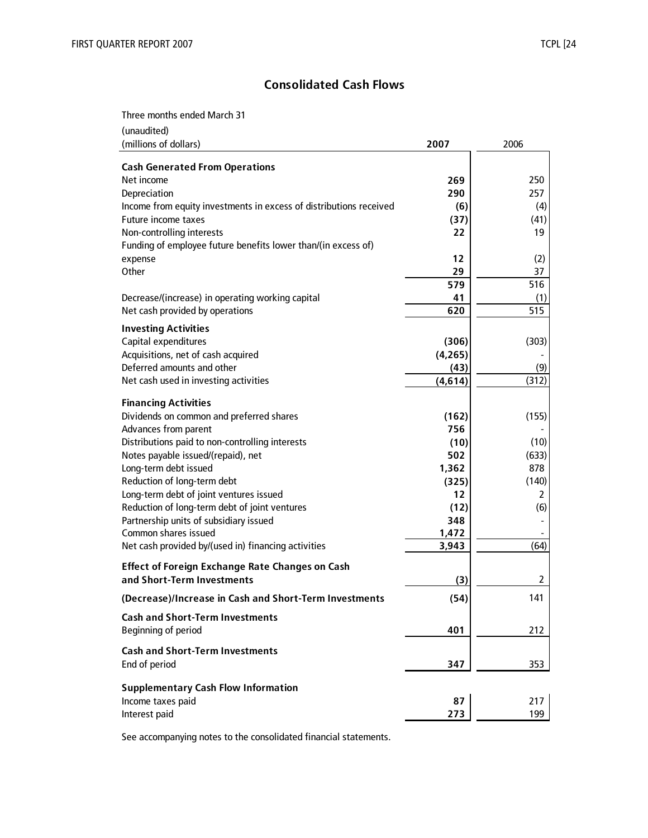# **Consolidated Cash Flows**

Three months ended March 31

| (unaudited)<br>(millions of dollars)                               | 2007     | 2006  |
|--------------------------------------------------------------------|----------|-------|
|                                                                    |          |       |
| <b>Cash Generated From Operations</b>                              |          |       |
| Net income                                                         | 269      | 250   |
| Depreciation                                                       | 290      | 257   |
| Income from equity investments in excess of distributions received | (6)      | (4)   |
| Future income taxes                                                | (37)     | (41)  |
| Non-controlling interests                                          | 22       | 19    |
| Funding of employee future benefits lower than/(in excess of)      |          |       |
| expense                                                            | 12       | (2)   |
| Other                                                              | 29       | 37    |
|                                                                    | 579      | 516   |
| Decrease/(increase) in operating working capital                   | 41       | (1)   |
| Net cash provided by operations                                    | 620      | 515   |
| <b>Investing Activities</b>                                        |          |       |
| Capital expenditures                                               | (306)    | (303) |
| Acquisitions, net of cash acquired                                 | (4, 265) |       |
| Deferred amounts and other                                         | (43)     | (9)   |
| Net cash used in investing activities                              | (4, 614) | (312) |
|                                                                    |          |       |
| <b>Financing Activities</b>                                        |          |       |
| Dividends on common and preferred shares                           | (162)    | (155) |
| Advances from parent                                               | 756      |       |
| Distributions paid to non-controlling interests                    | (10)     | (10)  |
| Notes payable issued/(repaid), net                                 | 502      | (633) |
| Long-term debt issued                                              | 1,362    | 878   |
| Reduction of long-term debt                                        | (325)    | (140) |
| Long-term debt of joint ventures issued                            | 12       | 2     |
| Reduction of long-term debt of joint ventures                      | (12)     | (6)   |
| Partnership units of subsidiary issued                             | 348      |       |
| Common shares issued                                               | 1,472    |       |
| Net cash provided by/(used in) financing activities                | 3,943    | (64)  |
|                                                                    |          |       |
| <b>Effect of Foreign Exchange Rate Changes on Cash</b>             |          |       |
| and Short-Term Investments                                         | (3)      | 2     |
| (Decrease)/Increase in Cash and Short-Term Investments             | (54)     | 141   |
| <b>Cash and Short-Term Investments</b>                             |          |       |
| Beginning of period                                                | 401      | 212   |
| <b>Cash and Short-Term Investments</b>                             |          |       |
| End of period                                                      | 347      | 353   |
| <b>Supplementary Cash Flow Information</b>                         |          |       |
|                                                                    | 87       | 217   |
| Income taxes paid                                                  |          |       |
| Interest paid                                                      | 273      | 199   |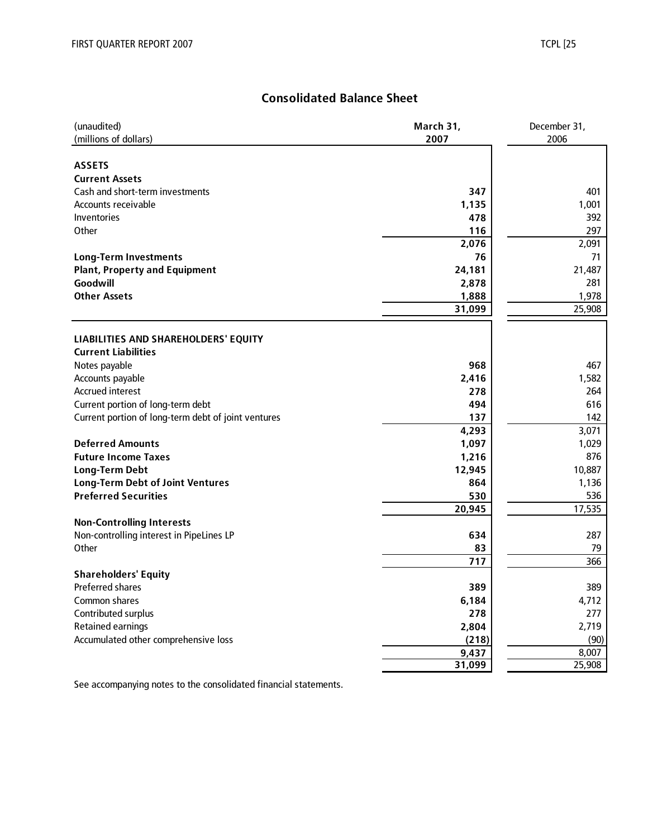# **Consolidated Balance Sheet**

| (millions of dollars)<br>2007<br>2006<br><b>ASSETS</b><br><b>Current Assets</b><br>Cash and short-term investments<br>347<br>1,135<br>Accounts receivable<br>Inventories<br>478<br>Other<br>116<br>2,076<br>76<br><b>Long-Term Investments</b><br>24,181<br><b>Plant, Property and Equipment</b><br>Goodwill<br>2,878<br><b>Other Assets</b><br>1,888<br>31,099<br>LIABILITIES AND SHAREHOLDERS' EQUITY | (unaudited)                | March 31, | December 31, |
|---------------------------------------------------------------------------------------------------------------------------------------------------------------------------------------------------------------------------------------------------------------------------------------------------------------------------------------------------------------------------------------------------------|----------------------------|-----------|--------------|
|                                                                                                                                                                                                                                                                                                                                                                                                         |                            |           |              |
|                                                                                                                                                                                                                                                                                                                                                                                                         |                            |           |              |
|                                                                                                                                                                                                                                                                                                                                                                                                         |                            |           |              |
|                                                                                                                                                                                                                                                                                                                                                                                                         |                            |           |              |
|                                                                                                                                                                                                                                                                                                                                                                                                         |                            |           | 401          |
|                                                                                                                                                                                                                                                                                                                                                                                                         |                            |           | 1,001        |
|                                                                                                                                                                                                                                                                                                                                                                                                         |                            |           | 392          |
|                                                                                                                                                                                                                                                                                                                                                                                                         |                            |           | 297          |
|                                                                                                                                                                                                                                                                                                                                                                                                         |                            |           | 2,091        |
|                                                                                                                                                                                                                                                                                                                                                                                                         |                            |           | 71           |
|                                                                                                                                                                                                                                                                                                                                                                                                         |                            |           | 21,487       |
|                                                                                                                                                                                                                                                                                                                                                                                                         |                            |           | 281          |
|                                                                                                                                                                                                                                                                                                                                                                                                         |                            |           | 1,978        |
|                                                                                                                                                                                                                                                                                                                                                                                                         |                            |           | 25,908       |
|                                                                                                                                                                                                                                                                                                                                                                                                         |                            |           |              |
|                                                                                                                                                                                                                                                                                                                                                                                                         |                            |           |              |
|                                                                                                                                                                                                                                                                                                                                                                                                         | <b>Current Liabilities</b> |           |              |
| 968<br>Notes payable                                                                                                                                                                                                                                                                                                                                                                                    |                            |           | 467          |
| Accounts payable<br>2,416                                                                                                                                                                                                                                                                                                                                                                               |                            |           | 1,582        |
| <b>Accrued interest</b><br>278                                                                                                                                                                                                                                                                                                                                                                          |                            |           | 264          |
| Current portion of long-term debt<br>494                                                                                                                                                                                                                                                                                                                                                                |                            |           | 616          |
| Current portion of long-term debt of joint ventures<br>137                                                                                                                                                                                                                                                                                                                                              |                            |           | 142          |
| 4,293                                                                                                                                                                                                                                                                                                                                                                                                   |                            |           | 3,071        |
| <b>Deferred Amounts</b><br>1,097                                                                                                                                                                                                                                                                                                                                                                        |                            |           | 1,029        |
| <b>Future Income Taxes</b><br>1,216                                                                                                                                                                                                                                                                                                                                                                     |                            |           | 876          |
| 12,945<br><b>Long-Term Debt</b>                                                                                                                                                                                                                                                                                                                                                                         |                            |           | 10,887       |
| <b>Long-Term Debt of Joint Ventures</b><br>864                                                                                                                                                                                                                                                                                                                                                          |                            |           | 1,136        |
| <b>Preferred Securities</b><br>530                                                                                                                                                                                                                                                                                                                                                                      |                            |           | 536          |
| 20,945                                                                                                                                                                                                                                                                                                                                                                                                  |                            |           | 17,535       |
| <b>Non-Controlling Interests</b>                                                                                                                                                                                                                                                                                                                                                                        |                            |           |              |
| Non-controlling interest in PipeLines LP<br>634                                                                                                                                                                                                                                                                                                                                                         |                            |           | 287          |
| Other<br>83                                                                                                                                                                                                                                                                                                                                                                                             |                            |           | 79           |
| 717                                                                                                                                                                                                                                                                                                                                                                                                     |                            |           | 366          |
| <b>Shareholders' Equity</b>                                                                                                                                                                                                                                                                                                                                                                             |                            |           |              |
| <b>Preferred shares</b><br>389                                                                                                                                                                                                                                                                                                                                                                          |                            |           | 389          |
| Common shares<br>6,184                                                                                                                                                                                                                                                                                                                                                                                  |                            |           | 4,712        |
| Contributed surplus<br>278                                                                                                                                                                                                                                                                                                                                                                              |                            |           | 277          |
| <b>Retained earnings</b><br>2,804                                                                                                                                                                                                                                                                                                                                                                       |                            |           | 2,719        |
| Accumulated other comprehensive loss<br>(218)                                                                                                                                                                                                                                                                                                                                                           |                            |           | (90)         |
| 9,437                                                                                                                                                                                                                                                                                                                                                                                                   |                            |           | 8,007        |
| 31,099                                                                                                                                                                                                                                                                                                                                                                                                  |                            |           | 25,908       |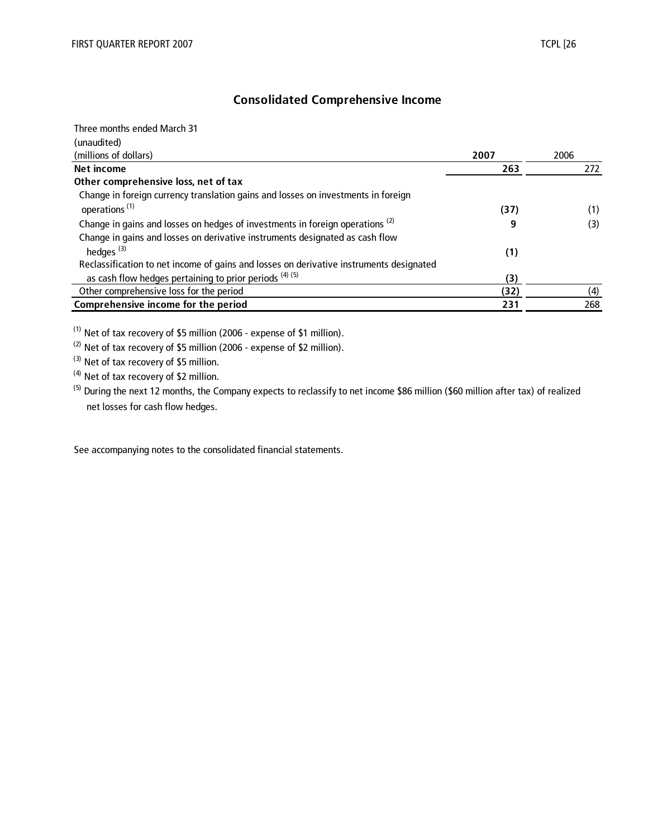## **Consolidated Comprehensive Income**

| Three months ended March 31                                                              |      |      |
|------------------------------------------------------------------------------------------|------|------|
| (unaudited)                                                                              |      |      |
| (millions of dollars)                                                                    | 2007 | 2006 |
| Net income                                                                               | 263  | 272  |
| Other comprehensive loss, net of tax                                                     |      |      |
| Change in foreign currency translation gains and losses on investments in foreign        |      |      |
| operations <sup>(1)</sup>                                                                | (37) | (1)  |
| Change in gains and losses on hedges of investments in foreign operations <sup>(2)</sup> | 9    | (3)  |
| Change in gains and losses on derivative instruments designated as cash flow             |      |      |
| hedges <sup>(3)</sup>                                                                    | (1)  |      |
| Reclassification to net income of gains and losses on derivative instruments designated  |      |      |
| as cash flow hedges pertaining to prior periods $(4)$ (5)                                | (3)  |      |
| Other comprehensive loss for the period                                                  | (32) | (4)  |
| Comprehensive income for the period                                                      | 231  | 268  |

(1) Net of tax recovery of \$5 million (2006 - expense of \$1 million).

(2) Net of tax recovery of \$5 million (2006 - expense of \$2 million).

<sup>(3)</sup> Net of tax recovery of \$5 million.

(4) Net of tax recovery of \$2 million.

<sup>(5)</sup> During the next 12 months, the Company expects to reclassify to net income \$86 million (\$60 million after tax) of realized net losses for cash flow hedges.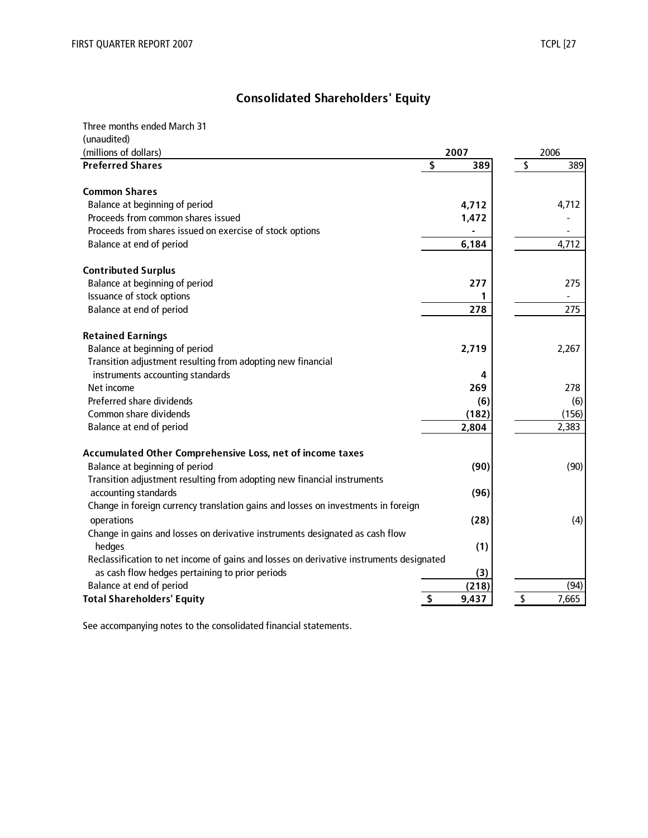# **Consolidated Shareholders' Equity**

| Three months ended March 31                                                             |             |             |
|-----------------------------------------------------------------------------------------|-------------|-------------|
| (unaudited)                                                                             |             |             |
| (millions of dollars)                                                                   | 2007        | 2006        |
| <b>Preferred Shares</b>                                                                 | \$<br>389   | \$<br>389   |
| <b>Common Shares</b>                                                                    |             |             |
| Balance at beginning of period                                                          | 4,712       | 4,712       |
| Proceeds from common shares issued                                                      | 1,472       |             |
| Proceeds from shares issued on exercise of stock options                                |             |             |
| Balance at end of period                                                                | 6,184       | 4,712       |
| <b>Contributed Surplus</b>                                                              |             |             |
| Balance at beginning of period                                                          | 277         | 275         |
| Issuance of stock options                                                               |             |             |
| Balance at end of period                                                                | 278         | 275         |
| <b>Retained Earnings</b>                                                                |             |             |
| Balance at beginning of period                                                          | 2,719       | 2,267       |
| Transition adjustment resulting from adopting new financial                             |             |             |
| instruments accounting standards                                                        | 4           |             |
| Net income                                                                              | 269         | 278         |
| Preferred share dividends                                                               | (6)         | (6)         |
| Common share dividends                                                                  | (182)       | (156)       |
| Balance at end of period                                                                | 2,804       | 2,383       |
| Accumulated Other Comprehensive Loss, net of income taxes                               |             |             |
| Balance at beginning of period                                                          | (90)        | (90)        |
| Transition adjustment resulting from adopting new financial instruments                 |             |             |
| accounting standards                                                                    | (96)        |             |
| Change in foreign currency translation gains and losses on investments in foreign       |             |             |
| operations                                                                              | (28)        | (4)         |
| Change in gains and losses on derivative instruments designated as cash flow            |             |             |
| hedges                                                                                  | (1)         |             |
| Reclassification to net income of gains and losses on derivative instruments designated |             |             |
| as cash flow hedges pertaining to prior periods                                         | (3)         |             |
| Balance at end of period                                                                | (218)       | (94)        |
| <b>Total Shareholders' Equity</b>                                                       | \$<br>9,437 | \$<br>7,665 |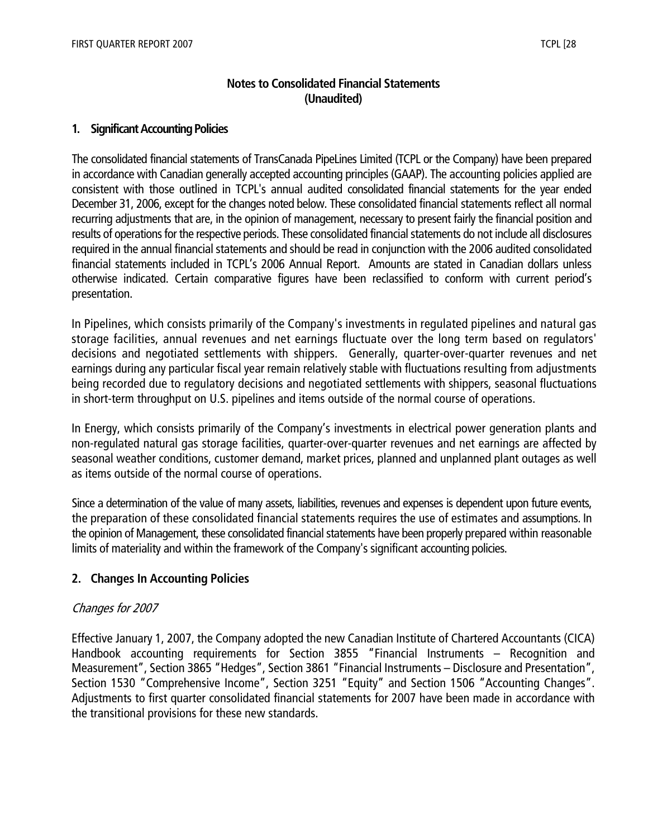## **Notes to Consolidated Financial Statements (Unaudited)**

#### **1. Significant Accounting Policies**

The consolidated financial statements of TransCanada PipeLines Limited (TCPL or the Company) have been prepared in accordance with Canadian generally accepted accounting principles (GAAP). The accounting policies applied are consistent with those outlined in TCPL's annual audited consolidated financial statements for the year ended December 31, 2006, except for the changes noted below. These consolidated financial statements reflect all normal recurring adjustments that are, in the opinion of management, necessary to present fairly the financial position and results of operations for the respective periods. These consolidated financial statements do not include all disclosures required in the annual financial statements and should be read in conjunction with the 2006 audited consolidated financial statements included in TCPL's 2006 Annual Report. Amounts are stated in Canadian dollars unless otherwise indicated. Certain comparative figures have been reclassified to conform with current period's presentation.

In Pipelines, which consists primarily of the Company's investments in regulated pipelines and natural gas storage facilities, annual revenues and net earnings fluctuate over the long term based on regulators' decisions and negotiated settlements with shippers. Generally, quarter-over-quarter revenues and net earnings during any particular fiscal year remain relatively stable with fluctuations resulting from adjustments being recorded due to regulatory decisions and negotiated settlements with shippers, seasonal fluctuations in short-term throughput on U.S. pipelines and items outside of the normal course of operations.

In Energy, which consists primarily of the Company's investments in electrical power generation plants and non-regulated natural gas storage facilities, quarter-over-quarter revenues and net earnings are affected by seasonal weather conditions, customer demand, market prices, planned and unplanned plant outages as well as items outside of the normal course of operations.

Since a determination of the value of many assets, liabilities, revenues and expenses is dependent upon future events, the preparation of these consolidated financial statements requires the use of estimates and assumptions. In the opinion of Management, these consolidated financial statements have been properly prepared within reasonable limits of materiality and within the framework of the Company's significant accounting policies.

## **2. Changes In Accounting Policies**

#### Changes for 2007

Effective January 1, 2007, the Company adopted the new Canadian Institute of Chartered Accountants (CICA) Handbook accounting requirements for Section 3855 "Financial Instruments – Recognition and Measurement", Section 3865 "Hedges", Section 3861 "Financial Instruments – Disclosure and Presentation", Section 1530 "Comprehensive Income", Section 3251 "Equity" and Section 1506 "Accounting Changes". Adjustments to first quarter consolidated financial statements for 2007 have been made in accordance with the transitional provisions for these new standards.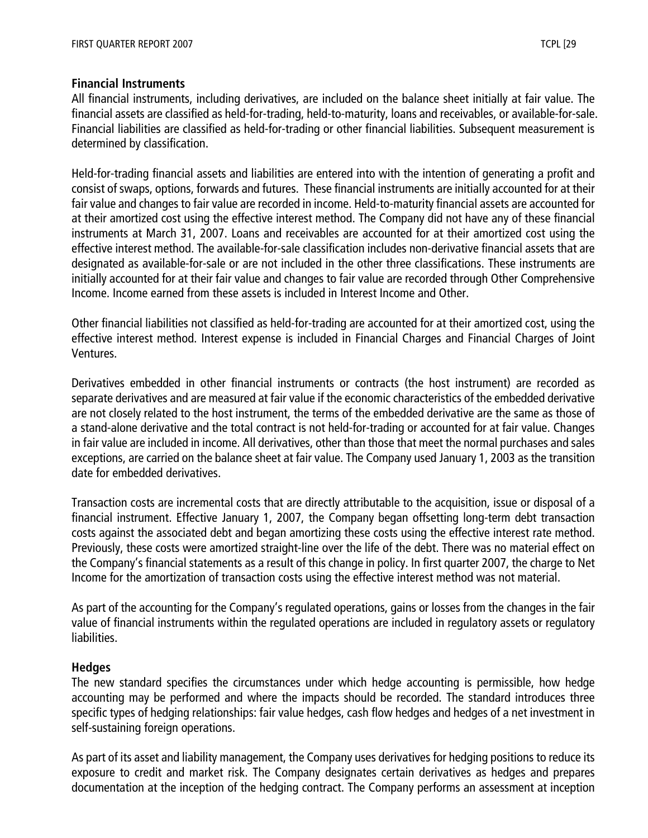#### **Financial Instruments**

All financial instruments, including derivatives, are included on the balance sheet initially at fair value. The financial assets are classified as held-for-trading, held-to-maturity, loans and receivables, or available-for-sale. Financial liabilities are classified as held-for-trading or other financial liabilities. Subsequent measurement is determined by classification.

Held-for-trading financial assets and liabilities are entered into with the intention of generating a profit and consist of swaps, options, forwards and futures. These financial instruments are initially accounted for at their fair value and changes to fair value are recorded in income. Held-to-maturity financial assets are accounted for at their amortized cost using the effective interest method. The Company did not have any of these financial instruments at March 31, 2007. Loans and receivables are accounted for at their amortized cost using the effective interest method. The available-for-sale classification includes non-derivative financial assets that are designated as available-for-sale or are not included in the other three classifications. These instruments are initially accounted for at their fair value and changes to fair value are recorded through Other Comprehensive Income. Income earned from these assets is included in Interest Income and Other.

Other financial liabilities not classified as held-for-trading are accounted for at their amortized cost, using the effective interest method. Interest expense is included in Financial Charges and Financial Charges of Joint Ventures.

Derivatives embedded in other financial instruments or contracts (the host instrument) are recorded as separate derivatives and are measured at fair value if the economic characteristics of the embedded derivative are not closely related to the host instrument, the terms of the embedded derivative are the same as those of a stand-alone derivative and the total contract is not held-for-trading or accounted for at fair value. Changes in fair value are included in income. All derivatives, other than those that meet the normal purchases and sales exceptions, are carried on the balance sheet at fair value. The Company used January 1, 2003 as the transition date for embedded derivatives.

Transaction costs are incremental costs that are directly attributable to the acquisition, issue or disposal of a financial instrument. Effective January 1, 2007, the Company began offsetting long-term debt transaction costs against the associated debt and began amortizing these costs using the effective interest rate method. Previously, these costs were amortized straight-line over the life of the debt. There was no material effect on the Company's financial statements as a result of this change in policy. In first quarter 2007, the charge to Net Income for the amortization of transaction costs using the effective interest method was not material.

As part of the accounting for the Company's regulated operations, gains or losses from the changes in the fair value of financial instruments within the regulated operations are included in regulatory assets or regulatory liabilities.

#### **Hedges**

The new standard specifies the circumstances under which hedge accounting is permissible, how hedge accounting may be performed and where the impacts should be recorded. The standard introduces three specific types of hedging relationships: fair value hedges, cash flow hedges and hedges of a net investment in self-sustaining foreign operations.

As part of its asset and liability management, the Company uses derivatives for hedging positions to reduce its exposure to credit and market risk. The Company designates certain derivatives as hedges and prepares documentation at the inception of the hedging contract. The Company performs an assessment at inception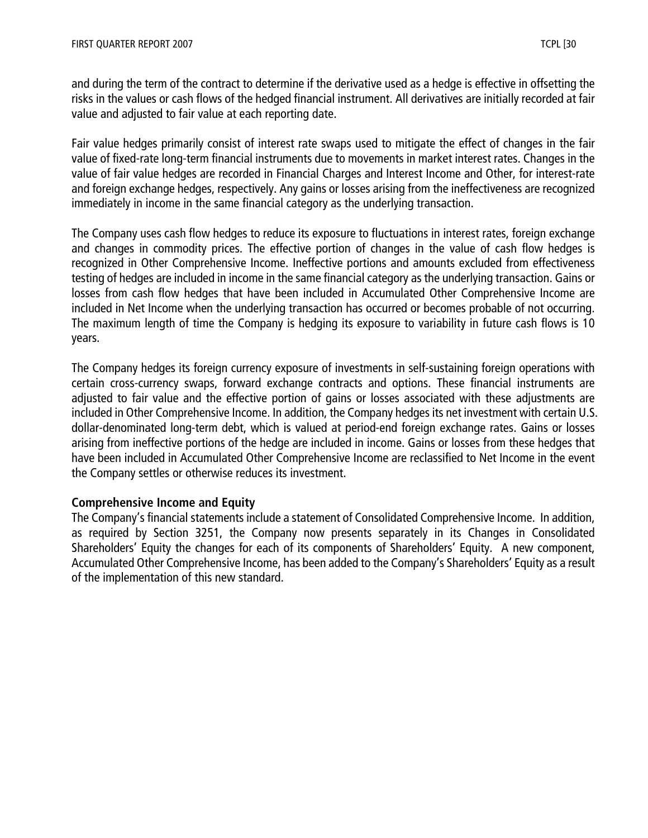and during the term of the contract to determine if the derivative used as a hedge is effective in offsetting the risks in the values or cash flows of the hedged financial instrument. All derivatives are initially recorded at fair value and adjusted to fair value at each reporting date.

Fair value hedges primarily consist of interest rate swaps used to mitigate the effect of changes in the fair value of fixed-rate long-term financial instruments due to movements in market interest rates. Changes in the value of fair value hedges are recorded in Financial Charges and Interest Income and Other, for interest-rate and foreign exchange hedges, respectively. Any gains or losses arising from the ineffectiveness are recognized immediately in income in the same financial category as the underlying transaction.

The Company uses cash flow hedges to reduce its exposure to fluctuations in interest rates, foreign exchange and changes in commodity prices. The effective portion of changes in the value of cash flow hedges is recognized in Other Comprehensive Income. Ineffective portions and amounts excluded from effectiveness testing of hedges are included in income in the same financial category as the underlying transaction. Gains or losses from cash flow hedges that have been included in Accumulated Other Comprehensive Income are included in Net Income when the underlying transaction has occurred or becomes probable of not occurring. The maximum length of time the Company is hedging its exposure to variability in future cash flows is 10 years.

The Company hedges its foreign currency exposure of investments in self-sustaining foreign operations with certain cross-currency swaps, forward exchange contracts and options. These financial instruments are adjusted to fair value and the effective portion of gains or losses associated with these adjustments are included in Other Comprehensive Income. In addition, the Company hedges its net investment with certain U.S. dollar-denominated long-term debt, which is valued at period-end foreign exchange rates. Gains or losses arising from ineffective portions of the hedge are included in income. Gains or losses from these hedges that have been included in Accumulated Other Comprehensive Income are reclassified to Net Income in the event the Company settles or otherwise reduces its investment.

#### **Comprehensive Income and Equity**

The Company's financial statements include a statement of Consolidated Comprehensive Income. In addition, as required by Section 3251, the Company now presents separately in its Changes in Consolidated Shareholders' Equity the changes for each of its components of Shareholders' Equity. A new component, Accumulated Other Comprehensive Income, has been added to the Company's Shareholders' Equity as a result of the implementation of this new standard.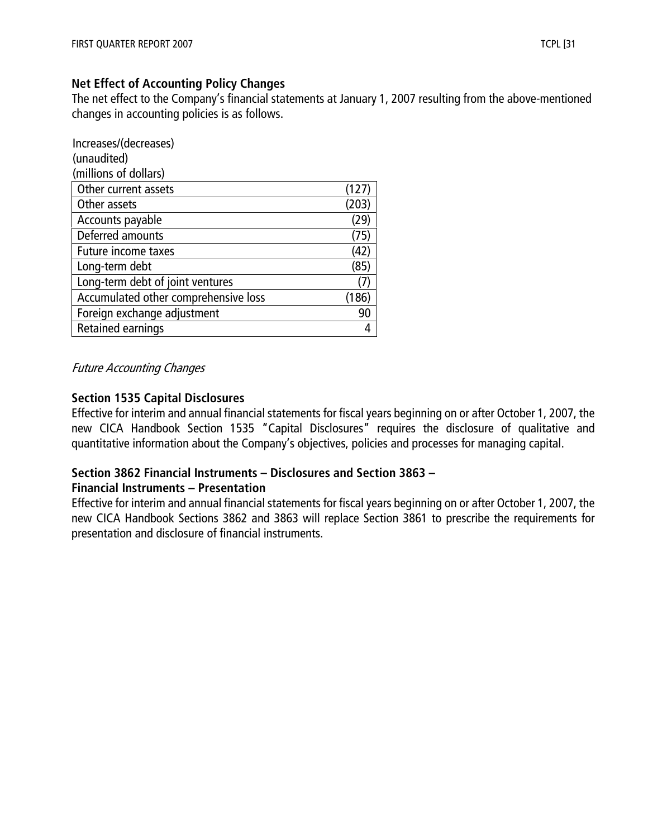#### **Net Effect of Accounting Policy Changes**

The net effect to the Company's financial statements at January 1, 2007 resulting from the above-mentioned changes in accounting policies is as follows.

| Increases/(decreases)                |       |
|--------------------------------------|-------|
| (unaudited)                          |       |
| (millions of dollars)                |       |
| Other current assets                 | (127) |
| Other assets                         | (203) |
| Accounts payable                     | (29)  |
| Deferred amounts                     | (75)  |
| <b>Future income taxes</b>           | (42)  |
| Long-term debt                       | (85)  |
| Long-term debt of joint ventures     | (7)   |
| Accumulated other comprehensive loss | (186) |
| Foreign exchange adjustment          | 90    |
| <b>Retained earnings</b>             |       |

#### Future Accounting Changes

#### **Section 1535 Capital Disclosures**

Effective for interim and annual financial statements for fiscal years beginning on or after October 1, 2007, the new CICA Handbook Section 1535 "Capital Disclosures" requires the disclosure of qualitative and quantitative information about the Company's objectives, policies and processes for managing capital.

## **Section 3862 Financial Instruments – Disclosures and Section 3863 –**

#### **Financial Instruments – Presentation**

Effective for interim and annual financial statements for fiscal years beginning on or after October 1, 2007, the new CICA Handbook Sections 3862 and 3863 will replace Section 3861 to prescribe the requirements for presentation and disclosure of financial instruments.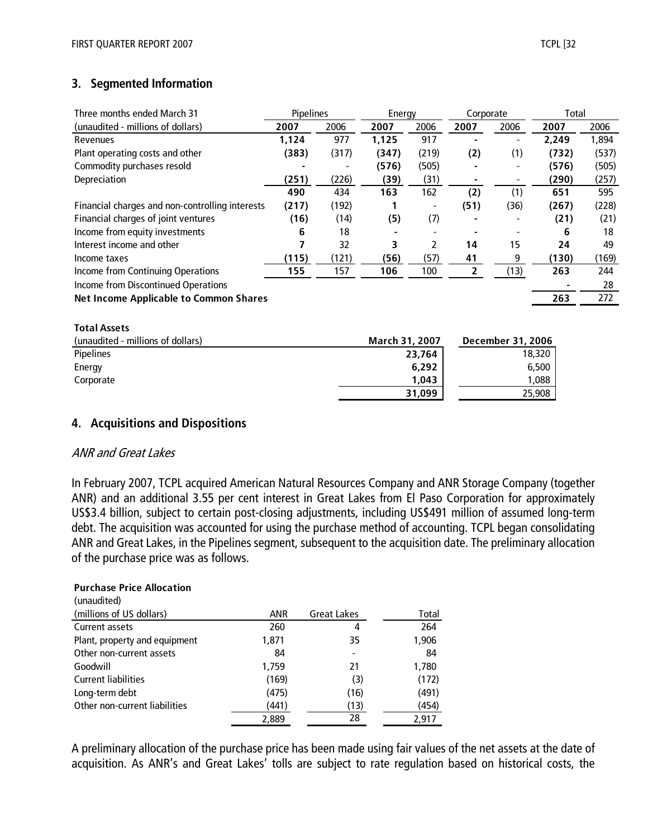## **3. Segmented Information**

| Three months ended March 31                     | Pipelines |       | Energy |       | Corporate |      | Total |       |
|-------------------------------------------------|-----------|-------|--------|-------|-----------|------|-------|-------|
| (unaudited - millions of dollars)               | 2007      | 2006  | 2007   | 2006  | 2007      | 2006 | 2007  | 2006  |
| Revenues                                        | 1,124     | 977   | 1,125  | 917   |           |      | 2.249 | 1,894 |
| Plant operating costs and other                 | (383)     | (317) | (347)  | (219) | (2)       | (1)  | (732) | (537) |
| Commodity purchases resold                      |           |       | (576)  | (505) |           |      | (576) | (505) |
| Depreciation                                    | (251)     | (226) | (39)   | (31)  |           |      | (290) | (257) |
|                                                 | 490       | 434   | 163    | 162   | (2)       | (1)  | 651   | 595   |
| Financial charges and non-controlling interests | (217)     | (192) |        | -     | (51)      | (36) | (267) | (228) |
| Financial charges of joint ventures             | (16)      | (14)  | (5)    | (7)   |           |      | (21)  | (21)  |
| Income from equity investments                  | 6         | 18    |        |       |           |      | 6     | 18    |
| Interest income and other                       |           | 32    | 3      | 2     | 14        | 15   | 24    | 49    |
| Income taxes                                    | (115)     | (121) | (56)   | (57)  | 41        | 9    | (130) | (169) |
| Income from Continuing Operations               | 155       | 157   | 106    | 100   | 2         | (13) | 263   | 244   |
| Income from Discontinued Operations             |           |       |        |       |           |      |       | 28    |
| <b>Net Income Applicable to Common Shares</b>   |           |       |        |       |           |      | 263   | 272   |
|                                                 |           |       |        |       |           |      |       |       |

| (unaudited - millions of dollars) | March 31, 2007 | December 31, 2006 |
|-----------------------------------|----------------|-------------------|
| <b>Pipelines</b>                  | 23,764         | 18,320            |
| Energy                            | 6.292          | 6.500             |
| Corporate                         | 1.043          | ' 088             |
|                                   | 31.099         | 25,908            |

#### **4. Acquisitions and Dispositions**

#### ANR and Great Lakes

**Total Assets**

In February 2007, TCPL acquired American Natural Resources Company and ANR Storage Company (together ANR) and an additional 3.55 per cent interest in Great Lakes from El Paso Corporation for approximately US\$3.4 billion, subject to certain post-closing adjustments, including US\$491 million of assumed long-term debt. The acquisition was accounted for using the purchase method of accounting. TCPL began consolidating ANR and Great Lakes, in the Pipelines segment, subsequent to the acquisition date. The preliminary allocation of the purchase price was as follows.

#### **Purchase Price Allocation**

| (unaudited)                   |            |                    |       |
|-------------------------------|------------|--------------------|-------|
| (millions of US dollars)      | <b>ANR</b> | <b>Great Lakes</b> | Total |
| Current assets                | 260        | 4                  | 264   |
| Plant, property and equipment | 1,871      | 35                 | 1,906 |
| Other non-current assets      | 84         |                    | 84    |
| Goodwill                      | 1,759      | 21                 | 1,780 |
| <b>Current liabilities</b>    | (169)      | (3)                | (172) |
| Long-term debt                | (475)      | (16)               | (491) |
| Other non-current liabilities | (441)      | (13)               | (454) |
|                               | 2.889      | 28                 | 2.917 |

A preliminary allocation of the purchase price has been made using fair values of the net assets at the date of acquisition. As ANR's and Great Lakes' tolls are subject to rate regulation based on historical costs, the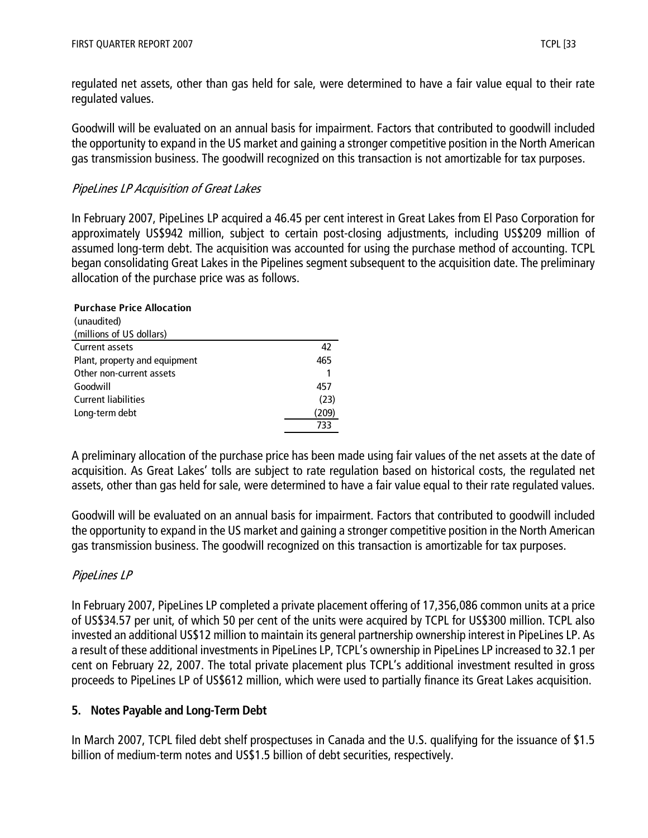regulated net assets, other than gas held for sale, were determined to have a fair value equal to their rate regulated values.

Goodwill will be evaluated on an annual basis for impairment. Factors that contributed to goodwill included the opportunity to expand in the US market and gaining a stronger competitive position in the North American gas transmission business. The goodwill recognized on this transaction is not amortizable for tax purposes.

## PipeLines LP Acquisition of Great Lakes

In February 2007, PipeLines LP acquired a 46.45 per cent interest in Great Lakes from El Paso Corporation for approximately US\$942 million, subject to certain post-closing adjustments, including US\$209 million of assumed long-term debt. The acquisition was accounted for using the purchase method of accounting. TCPL began consolidating Great Lakes in the Pipelines segment subsequent to the acquisition date. The preliminary allocation of the purchase price was as follows.

| <b>Purchase Price Allocation</b> |       |
|----------------------------------|-------|
| (unaudited)                      |       |
| (millions of US dollars)         |       |
| Current assets                   | 42    |
| Plant, property and equipment    | 465   |
| Other non-current assets         |       |
| Goodwill                         | 457   |
| <b>Current liabilities</b>       | (23)  |
| Long-term debt                   | (209) |
|                                  | 733   |

A preliminary allocation of the purchase price has been made using fair values of the net assets at the date of acquisition. As Great Lakes' tolls are subject to rate regulation based on historical costs, the regulated net assets, other than gas held for sale, were determined to have a fair value equal to their rate regulated values.

Goodwill will be evaluated on an annual basis for impairment. Factors that contributed to goodwill included the opportunity to expand in the US market and gaining a stronger competitive position in the North American gas transmission business. The goodwill recognized on this transaction is amortizable for tax purposes.

## PipeLines LP

In February 2007, PipeLines LP completed a private placement offering of 17,356,086 common units at a price of US\$34.57 per unit, of which 50 per cent of the units were acquired by TCPL for US\$300 million. TCPL also invested an additional US\$12 million to maintain its general partnership ownership interest in PipeLines LP. As a result of these additional investments in PipeLines LP, TCPL's ownership in PipeLines LP increased to 32.1 per cent on February 22, 2007. The total private placement plus TCPL's additional investment resulted in gross proceeds to PipeLines LP of US\$612 million, which were used to partially finance its Great Lakes acquisition.

#### **5. Notes Payable and Long-Term Debt**

In March 2007, TCPL filed debt shelf prospectuses in Canada and the U.S. qualifying for the issuance of \$1.5 billion of medium-term notes and US\$1.5 billion of debt securities, respectively.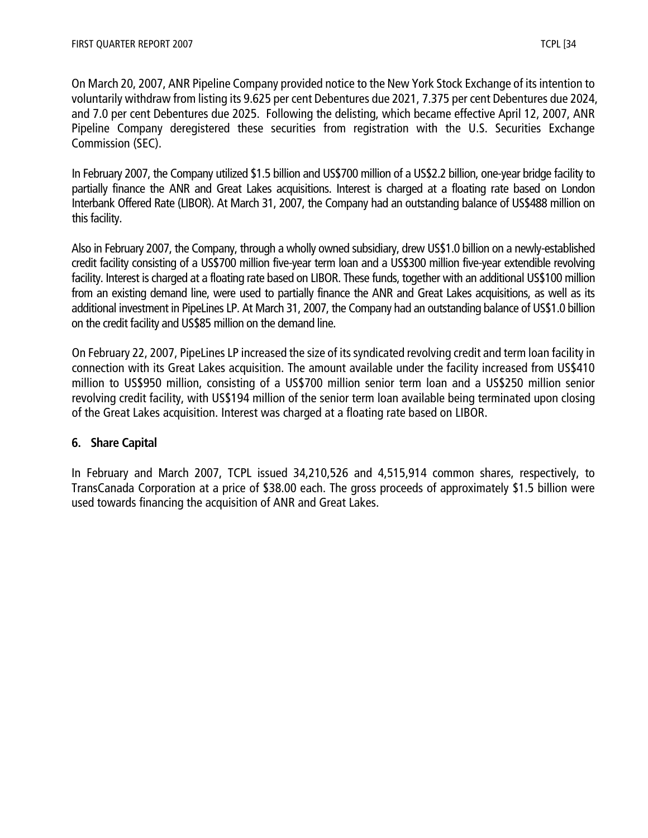On March 20, 2007, ANR Pipeline Company provided notice to the New York Stock Exchange of its intention to voluntarily withdraw from listing its 9.625 per cent Debentures due 2021, 7.375 per cent Debentures due 2024, and 7.0 per cent Debentures due 2025. Following the delisting, which became effective April 12, 2007, ANR Pipeline Company deregistered these securities from registration with the U.S. Securities Exchange Commission (SEC).

In February 2007, the Company utilized \$1.5 billion and US\$700 million of a US\$2.2 billion, one-year bridge facility to partially finance the ANR and Great Lakes acquisitions. Interest is charged at a floating rate based on London Interbank Offered Rate (LIBOR). At March 31, 2007, the Company had an outstanding balance of US\$488 million on this facility.

Also in February 2007, the Company, through a wholly owned subsidiary, drew US\$1.0 billion on a newly-established credit facility consisting of a US\$700 million five-year term loan and a US\$300 million five-year extendible revolving facility. Interest is charged at a floating rate based on LIBOR. These funds, together with an additional US\$100 million from an existing demand line, were used to partially finance the ANR and Great Lakes acquisitions, as well as its additional investment in PipeLines LP. At March 31, 2007, the Company had an outstanding balance of US\$1.0 billion on the credit facility and US\$85 million on the demand line.

On February 22, 2007, PipeLines LP increased the size of its syndicated revolving credit and term loan facility in connection with its Great Lakes acquisition. The amount available under the facility increased from US\$410 million to US\$950 million, consisting of a US\$700 million senior term loan and a US\$250 million senior revolving credit facility, with US\$194 million of the senior term loan available being terminated upon closing of the Great Lakes acquisition. Interest was charged at a floating rate based on LIBOR.

## **6. Share Capital**

In February and March 2007, TCPL issued 34,210,526 and 4,515,914 common shares, respectively, to TransCanada Corporation at a price of \$38.00 each. The gross proceeds of approximately \$1.5 billion were used towards financing the acquisition of ANR and Great Lakes.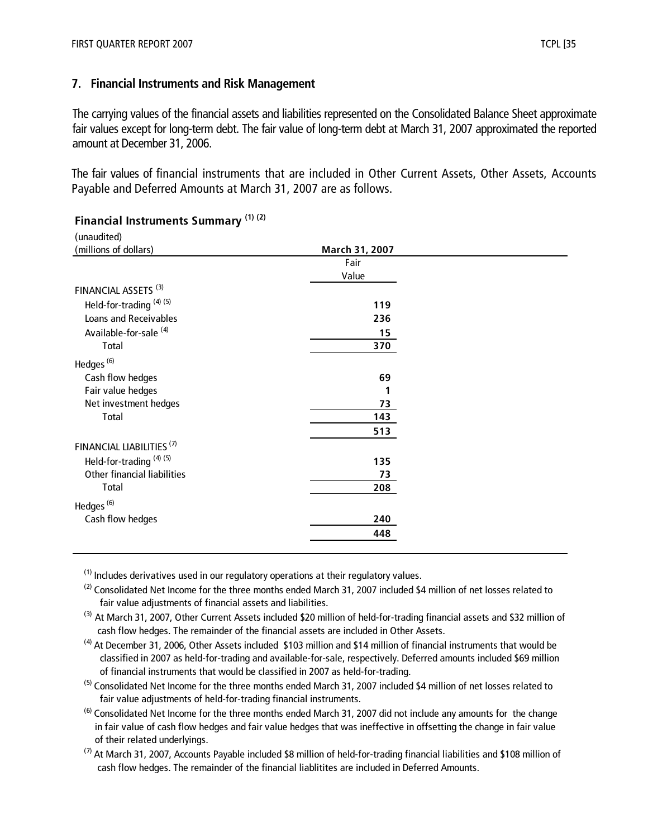#### **7. Financial Instruments and Risk Management**

The carrying values of the financial assets and liabilities represented on the Consolidated Balance Sheet approximate fair values except for long-term debt. The fair value of long-term debt at March 31, 2007 approximated the reported amount at December 31, 2006.

The fair values of financial instruments that are included in Other Current Assets, Other Assets, Accounts Payable and Deferred Amounts at March 31, 2007 are as follows.

| (unaudited)                          |                |
|--------------------------------------|----------------|
| (millions of dollars)                | March 31, 2007 |
|                                      | Fair           |
|                                      | Value          |
| FINANCIAL ASSETS <sup>(3)</sup>      |                |
| Held-for-trading <sup>(4)(5)</sup>   | 119            |
| Loans and Receivables                | 236            |
| Available-for-sale <sup>(4)</sup>    | 15             |
| Total                                | 370            |
| Hedges <sup>(6)</sup>                |                |
| Cash flow hedges                     | 69             |
| Fair value hedges                    | 1              |
| Net investment hedges                | 73             |
| Total                                | 143            |
|                                      | 513            |
| FINANCIAL LIABILITIES <sup>(7)</sup> |                |
| Held-for-trading <sup>(4)(5)</sup>   | 135            |
| Other financial liabilities          | 73             |
| Total                                | 208            |
| Hedges <sup>(6)</sup>                |                |
| Cash flow hedges                     | 240            |
|                                      | 448            |
|                                      |                |

#### **Financial Instruments Summary (1) (2)**

 $<sup>(1)</sup>$  Includes derivatives used in our regulatory operations at their regulatory values.</sup>

 $^{(2)}$  Consolidated Net Income for the three months ended March 31, 2007 included \$4 million of net losses related to fair value adjustments of financial assets and liabilities.

<sup>(3)</sup> At March 31, 2007, Other Current Assets included \$20 million of held-for-trading financial assets and \$32 million of cash flow hedges. The remainder of the financial assets are included in Other Assets.

 $(4)$  At December 31, 2006, Other Assets included \$103 million and \$14 million of financial instruments that would be classified in 2007 as held-for-trading and available-for-sale, respectively. Deferred amounts included \$69 million of financial instruments that would be classified in 2007 as held-for-trading.

<sup>(5)</sup> Consolidated Net Income for the three months ended March 31, 2007 included \$4 million of net losses related to fair value adjustments of held-for-trading financial instruments.

 $^{(6)}$  Consolidated Net Income for the three months ended March 31, 2007 did not include any amounts for the change in fair value of cash flow hedges and fair value hedges that was ineffective in offsetting the change in fair value of their related underlyings.

 $^{(7)}$  At March 31, 2007, Accounts Payable included \$8 million of held-for-trading financial liabilities and \$108 million of cash flow hedges. The remainder of the financial liablitites are included in Deferred Amounts.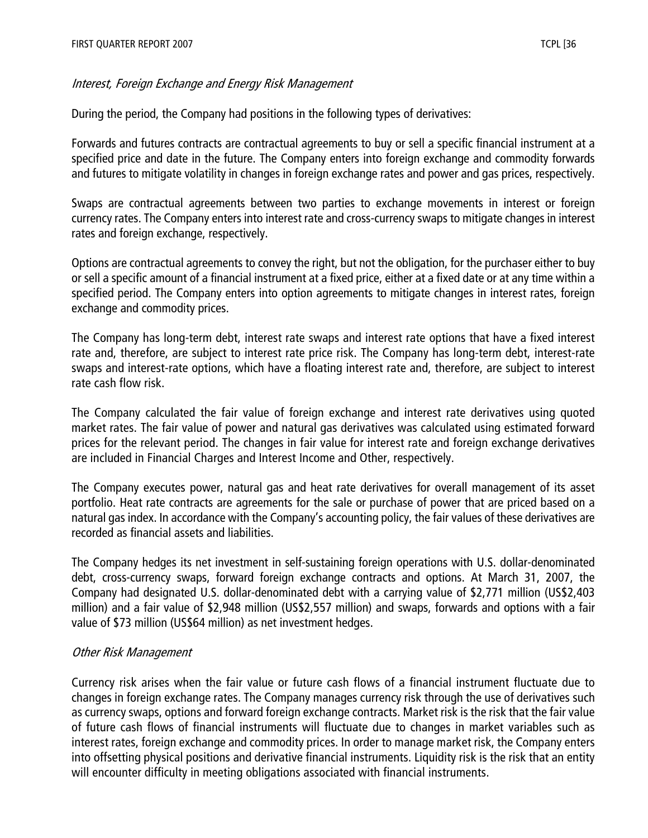## Interest, Foreign Exchange and Energy Risk Management

During the period, the Company had positions in the following types of derivatives:

Forwards and futures contracts are contractual agreements to buy or sell a specific financial instrument at a specified price and date in the future. The Company enters into foreign exchange and commodity forwards and futures to mitigate volatility in changes in foreign exchange rates and power and gas prices, respectively.

Swaps are contractual agreements between two parties to exchange movements in interest or foreign currency rates. The Company enters into interest rate and cross-currency swaps to mitigate changes in interest rates and foreign exchange, respectively.

Options are contractual agreements to convey the right, but not the obligation, for the purchaser either to buy or sell a specific amount of a financial instrument at a fixed price, either at a fixed date or at any time within a specified period. The Company enters into option agreements to mitigate changes in interest rates, foreign exchange and commodity prices.

The Company has long-term debt, interest rate swaps and interest rate options that have a fixed interest rate and, therefore, are subject to interest rate price risk. The Company has long-term debt, interest-rate swaps and interest-rate options, which have a floating interest rate and, therefore, are subject to interest rate cash flow risk.

The Company calculated the fair value of foreign exchange and interest rate derivatives using quoted market rates. The fair value of power and natural gas derivatives was calculated using estimated forward prices for the relevant period. The changes in fair value for interest rate and foreign exchange derivatives are included in Financial Charges and Interest Income and Other, respectively.

The Company executes power, natural gas and heat rate derivatives for overall management of its asset portfolio. Heat rate contracts are agreements for the sale or purchase of power that are priced based on a natural gas index. In accordance with the Company's accounting policy, the fair values of these derivatives are recorded as financial assets and liabilities.

The Company hedges its net investment in self-sustaining foreign operations with U.S. dollar-denominated debt, cross-currency swaps, forward foreign exchange contracts and options. At March 31, 2007, the Company had designated U.S. dollar-denominated debt with a carrying value of \$2,771 million (US\$2,403 million) and a fair value of \$2,948 million (US\$2,557 million) and swaps, forwards and options with a fair value of \$73 million (US\$64 million) as net investment hedges.

## Other Risk Management

Currency risk arises when the fair value or future cash flows of a financial instrument fluctuate due to changes in foreign exchange rates. The Company manages currency risk through the use of derivatives such as currency swaps, options and forward foreign exchange contracts. Market risk is the risk that the fair value of future cash flows of financial instruments will fluctuate due to changes in market variables such as interest rates, foreign exchange and commodity prices. In order to manage market risk, the Company enters into offsetting physical positions and derivative financial instruments. Liquidity risk is the risk that an entity will encounter difficulty in meeting obligations associated with financial instruments.